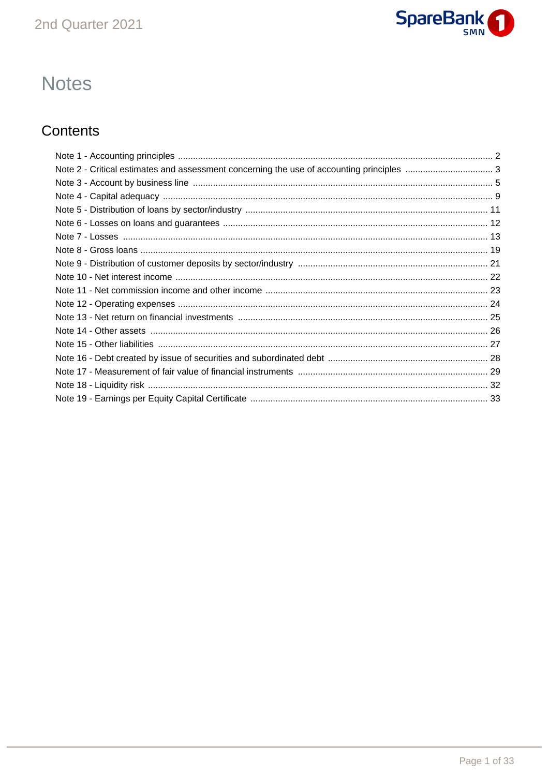

# **Notes**

## Contents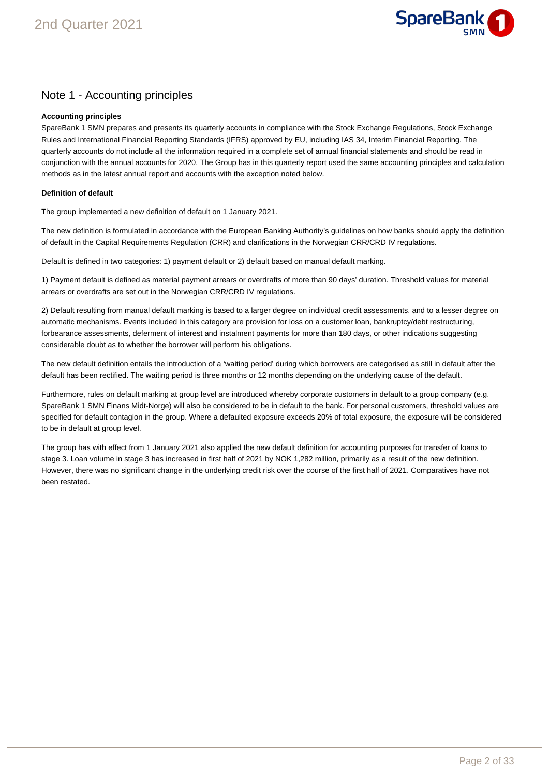

## Note 1 - Accounting principles

### **Accounting principles**

SpareBank 1 SMN prepares and presents its quarterly accounts in compliance with the Stock Exchange Regulations, Stock Exchange Rules and International Financial Reporting Standards (IFRS) approved by EU, including IAS 34, Interim Financial Reporting. The quarterly accounts do not include all the information required in a complete set of annual financial statements and should be read in conjunction with the annual accounts for 2020. The Group has in this quarterly report used the same accounting principles and calculation methods as in the latest annual report and accounts with the exception noted below.

### **Definition of default**

The group implemented a new definition of default on 1 January 2021.

The new definition is formulated in accordance with the European Banking Authority's guidelines on how banks should apply the definition of default in the Capital Requirements Regulation (CRR) and clarifications in the Norwegian CRR/CRD IV regulations.

Default is defined in two categories: 1) payment default or 2) default based on manual default marking.

1) Payment default is defined as material payment arrears or overdrafts of more than 90 days' duration. Threshold values for material arrears or overdrafts are set out in the Norwegian CRR/CRD IV regulations.

2) Default resulting from manual default marking is based to a larger degree on individual credit assessments, and to a lesser degree on automatic mechanisms. Events included in this category are provision for loss on a customer loan, bankruptcy/debt restructuring, forbearance assessments, deferment of interest and instalment payments for more than 180 days, or other indications suggesting considerable doubt as to whether the borrower will perform his obligations.

The new default definition entails the introduction of a 'waiting period' during which borrowers are categorised as still in default after the default has been rectified. The waiting period is three months or 12 months depending on the underlying cause of the default.

Furthermore, rules on default marking at group level are introduced whereby corporate customers in default to a group company (e.g. SpareBank 1 SMN Finans Midt-Norge) will also be considered to be in default to the bank. For personal customers, threshold values are specified for default contagion in the group. Where a defaulted exposure exceeds 20% of total exposure, the exposure will be considered to be in default at group level.

The group has with effect from 1 January 2021 also applied the new default definition for accounting purposes for transfer of loans to stage 3. Loan volume in stage 3 has increased in first half of 2021 by NOK 1,282 million, primarily as a result of the new definition. However, there was no significant change in the underlying credit risk over the course of the first half of 2021. Comparatives have not been restated.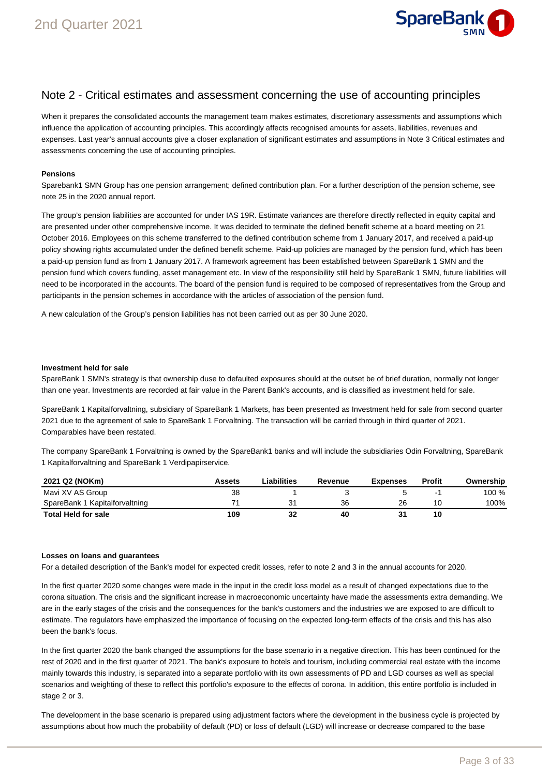

### Note 2 - Critical estimates and assessment concerning the use of accounting principles

When it prepares the consolidated accounts the management team makes estimates, discretionary assessments and assumptions which influence the application of accounting principles. This accordingly affects recognised amounts for assets, liabilities, revenues and expenses. Last year's annual accounts give a closer explanation of significant estimates and assumptions in Note 3 Critical estimates and assessments concerning the use of accounting principles.

### **Pensions**

Sparebank1 SMN Group has one pension arrangement; defined contribution plan. For a further description of the pension scheme, see note 25 in the 2020 annual report.

The group's pension liabilities are accounted for under IAS 19R. Estimate variances are therefore directly reflected in equity capital and are presented under other comprehensive income. It was decided to terminate the defined benefit scheme at a board meeting on 21 October 2016. Employees on this scheme transferred to the defined contribution scheme from 1 January 2017, and received a paid-up policy showing rights accumulated under the defined benefit scheme. Paid-up policies are managed by the pension fund, which has been a paid-up pension fund as from 1 January 2017. A framework agreement has been established between SpareBank 1 SMN and the pension fund which covers funding, asset management etc. In view of the responsibility still held by SpareBank 1 SMN, future liabilities will need to be incorporated in the accounts. The board of the pension fund is required to be composed of representatives from the Group and participants in the pension schemes in accordance with the articles of association of the pension fund.

A new calculation of the Group's pension liabilities has not been carried out as per 30 June 2020.

#### **Investment held for sale**

SpareBank 1 SMN's strategy is that ownership duse to defaulted exposures should at the outset be of brief duration, normally not longer than one year. Investments are recorded at fair value in the Parent Bank's accounts, and is classified as investment held for sale.

SpareBank 1 Kapitalforvaltning, subsidiary of SpareBank 1 Markets, has been presented as Investment held for sale from second quarter 2021 due to the agreement of sale to SpareBank 1 Forvaltning. The transaction will be carried through in third quarter of 2021. Comparables have been restated.

The company SpareBank 1 Forvaltning is owned by the SpareBank1 banks and will include the subsidiaries Odin Forvaltning, SpareBank 1 Kapitalforvaltning and SpareBank 1 Verdipapirservice.

| 2021 Q2 (NOKm)                 | Assets | Liabilities | Revenue | <b>Expenses</b> | Profit | Ownership |
|--------------------------------|--------|-------------|---------|-----------------|--------|-----------|
| Mavi XV AS Group               | 38     |             |         |                 | -      | 100 %     |
| SpareBank 1 Kapitalforvaltning |        |             | 36      | 26              | 10     | 100%      |
| <b>Total Held for sale</b>     | 109    | 32          | 40      | 31              | 10     |           |

### **Losses on loans and guarantees**

For a detailed description of the Bank's model for expected credit losses, refer to note 2 and 3 in the annual accounts for 2020.

In the first quarter 2020 some changes were made in the input in the credit loss model as a result of changed expectations due to the corona situation. The crisis and the significant increase in macroeconomic uncertainty have made the assessments extra demanding. We are in the early stages of the crisis and the consequences for the bank's customers and the industries we are exposed to are difficult to estimate. The regulators have emphasized the importance of focusing on the expected long-term effects of the crisis and this has also been the bank's focus.

In the first quarter 2020 the bank changed the assumptions for the base scenario in a negative direction. This has been continued for the rest of 2020 and in the first quarter of 2021. The bank's exposure to hotels and tourism, including commercial real estate with the income mainly towards this industry, is separated into a separate portfolio with its own assessments of PD and LGD courses as well as special scenarios and weighting of these to reflect this portfolio's exposure to the effects of corona. In addition, this entire portfolio is included in stage 2 or 3.

The development in the base scenario is prepared using adjustment factors where the development in the business cycle is projected by assumptions about how much the probability of default (PD) or loss of default (LGD) will increase or decrease compared to the base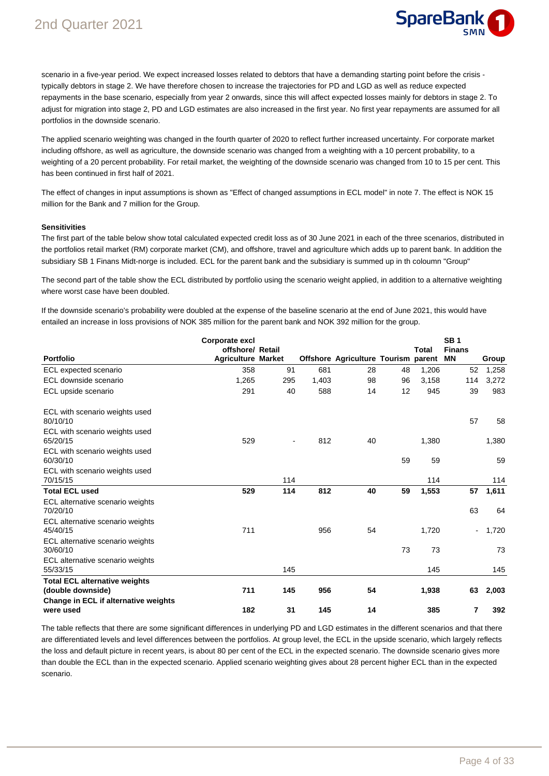

scenario in a five-year period. We expect increased losses related to debtors that have a demanding starting point before the crisis typically debtors in stage 2. We have therefore chosen to increase the trajectories for PD and LGD as well as reduce expected repayments in the base scenario, especially from year 2 onwards, since this will affect expected losses mainly for debtors in stage 2. To adjust for migration into stage 2, PD and LGD estimates are also increased in the first year. No first year repayments are assumed for all portfolios in the downside scenario.

The applied scenario weighting was changed in the fourth quarter of 2020 to reflect further increased uncertainty. For corporate market including offshore, as well as agriculture, the downside scenario was changed from a weighting with a 10 percent probability, to a weighting of a 20 percent probability. For retail market, the weighting of the downside scenario was changed from 10 to 15 per cent. This has been continued in first half of 2021.

The effect of changes in input assumptions is shown as "Effect of changed assumptions in ECL model" in note 7. The effect is NOK 15 million for the Bank and 7 million for the Group.

#### **Sensitivities**

The first part of the table below show total calculated expected credit loss as of 30 June 2021 in each of the three scenarios, distributed in the portfolios retail market (RM) corporate market (CM), and offshore, travel and agriculture which adds up to parent bank. In addition the subsidiary SB 1 Finans Midt-norge is included. ECL for the parent bank and the subsidiary is summed up in th coloumn "Group"

The second part of the table show the ECL distributed by portfolio using the scenario weight applied, in addition to a alternative weighting where worst case have been doubled.

If the downside scenario's probability were doubled at the expense of the baseline scenario at the end of June 2021, this would have entailed an increase in loss provisions of NOK 385 million for the parent bank and NOK 392 million for the group.

|                                                           | Corporate excl            |     |       |                                     |    |       | SB <sub>1</sub> |       |
|-----------------------------------------------------------|---------------------------|-----|-------|-------------------------------------|----|-------|-----------------|-------|
|                                                           | offshore/ Retail          |     |       |                                     |    | Total | <b>Finans</b>   |       |
| <b>Portfolio</b>                                          | <b>Agriculture Market</b> |     |       | Offshore Agriculture Tourism parent |    |       | <b>MN</b>       | Group |
| ECL expected scenario                                     | 358                       | 91  | 681   | 28                                  | 48 | 1,206 | 52              | 1,258 |
| ECL downside scenario                                     | 1,265                     | 295 | 1,403 | 98                                  | 96 | 3,158 | 114             | 3,272 |
| ECL upside scenario                                       | 291                       | 40  | 588   | 14                                  | 12 | 945   | 39              | 983   |
| ECL with scenario weights used<br>80/10/10                |                           |     |       |                                     |    |       | 57              | 58    |
| ECL with scenario weights used<br>65/20/15                | 529                       |     | 812   | 40                                  |    | 1,380 |                 | 1,380 |
| ECL with scenario weights used<br>60/30/10                |                           |     |       |                                     | 59 | 59    |                 | 59    |
| ECL with scenario weights used<br>70/15/15                |                           | 114 |       |                                     |    | 114   |                 | 114   |
| <b>Total ECL used</b>                                     | 529                       | 114 | 812   | 40                                  | 59 | 1,553 | 57              | 1,611 |
| ECL alternative scenario weights<br>70/20/10              |                           |     |       |                                     |    |       | 63              | 64    |
| ECL alternative scenario weights<br>45/40/15              | 711                       |     | 956   | 54                                  |    | 1,720 | ۰               | 1,720 |
| ECL alternative scenario weights<br>30/60/10              |                           |     |       |                                     | 73 | 73    |                 | 73    |
| ECL alternative scenario weights<br>55/33/15              |                           | 145 |       |                                     |    | 145   |                 | 145   |
| <b>Total ECL alternative weights</b><br>(double downside) | 711                       | 145 | 956   | 54                                  |    | 1,938 | 63              | 2,003 |
| Change in ECL if alternative weights                      |                           |     |       |                                     |    |       |                 |       |
| were used                                                 | 182                       | 31  | 145   | 14                                  |    | 385   | 7               | 392   |

The table reflects that there are some significant differences in underlying PD and LGD estimates in the different scenarios and that there are differentiated levels and level differences between the portfolios. At group level, the ECL in the upside scenario, which largely reflects the loss and default picture in recent years, is about 80 per cent of the ECL in the expected scenario. The downside scenario gives more than double the ECL than in the expected scenario. Applied scenario weighting gives about 28 percent higher ECL than in the expected scenario.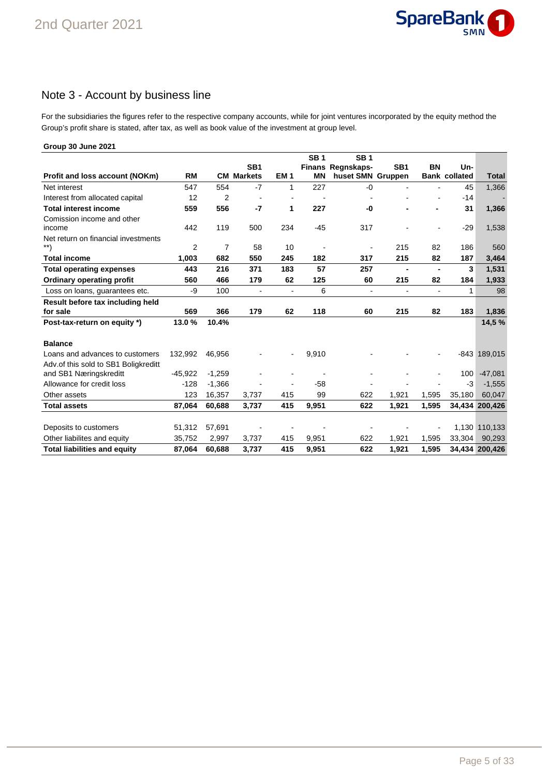

## Note 3 - Account by business line

For the subsidiaries the figures refer to the respective company accounts, while for joint ventures incorporated by the equity method the Group's profit share is stated, after tax, as well as book value of the investment at group level.

| Group 30 June 2021                   |           |          |                   |                 |                 |                   |                 |                |                      |                |
|--------------------------------------|-----------|----------|-------------------|-----------------|-----------------|-------------------|-----------------|----------------|----------------------|----------------|
|                                      |           |          |                   |                 | SB <sub>1</sub> | <b>SB1</b>        |                 |                |                      |                |
|                                      |           |          | SB <sub>1</sub>   |                 |                 | Finans Regnskaps- | SB <sub>1</sub> | BN             | Un-                  |                |
| Profit and loss account (NOKm)       | <b>RM</b> |          | <b>CM Markets</b> | EM <sub>1</sub> | <b>MN</b>       | huset SMN Gruppen |                 |                | <b>Bank collated</b> | <b>Total</b>   |
| Net interest                         | 547       | 554      | $-7$              | 1               | 227             | $-0$              |                 |                | 45                   | 1,366          |
| Interest from allocated capital      | 12        | 2        | $\overline{a}$    |                 |                 |                   |                 |                | -14                  |                |
| <b>Total interest income</b>         | 559       | 556      | $-7$              | 1               | 227             | -0                |                 | $\blacksquare$ | 31                   | 1,366          |
| Comission income and other           |           |          |                   |                 |                 |                   |                 |                |                      |                |
| income                               | 442       | 119      | 500               | 234             | $-45$           | 317               |                 |                | $-29$                | 1,538          |
| Net return on financial investments  |           |          |                   |                 |                 |                   |                 |                |                      |                |
| $^{**}$                              | 2         | 7        | 58                | 10              | $\blacksquare$  | ۰                 | 215             | 82             | 186                  | 560            |
| <b>Total income</b>                  | 1,003     | 682      | 550               | 245             | 182             | 317               | 215             | 82             | 187                  | 3,464          |
| <b>Total operating expenses</b>      | 443       | 216      | 371               | 183             | 57              | 257               | $\blacksquare$  | $\blacksquare$ | 3                    | 1,531          |
| <b>Ordinary operating profit</b>     | 560       | 466      | 179               | 62              | 125             | 60                | 215             | 82             | 184                  | 1,933          |
| Loss on loans, guarantees etc.       | -9        | 100      | $\blacksquare$    | $\overline{a}$  | 6               | $\blacksquare$    | $\blacksquare$  | $\blacksquare$ | 1                    | 98             |
| Result before tax including held     |           |          |                   |                 |                 |                   |                 |                |                      |                |
| for sale                             | 569       | 366      | 179               | 62              | 118             | 60                | 215             | 82             | 183                  | 1,836          |
| Post-tax-return on equity *)         | 13.0%     | 10.4%    |                   |                 |                 |                   |                 |                |                      | 14,5 %         |
| <b>Balance</b>                       |           |          |                   |                 |                 |                   |                 |                |                      |                |
| Loans and advances to customers      | 132,992   | 46,956   |                   |                 | 9,910           |                   |                 |                |                      | $-843$ 189,015 |
| Adv.of this sold to SB1 Boligkreditt |           |          |                   |                 |                 |                   |                 |                |                      |                |
| and SB1 Næringskreditt               | $-45,922$ | $-1,259$ |                   |                 |                 |                   |                 |                | 100                  | $-47,081$      |
| Allowance for credit loss            | $-128$    | $-1,366$ |                   |                 | $-58$           |                   |                 |                | $-3$                 | $-1,555$       |
| Other assets                         | 123       | 16,357   | 3,737             | 415             | 99              | 622               | 1,921           | 1,595          | 35,180               | 60,047         |
| <b>Total assets</b>                  | 87,064    | 60,688   | 3,737             | 415             | 9,951           | 622               | 1,921           | 1,595          |                      | 34,434 200,426 |
|                                      |           |          |                   |                 |                 |                   |                 |                |                      |                |
| Deposits to customers                | 51,312    | 57,691   |                   |                 |                 |                   |                 |                |                      | 1,130 110,133  |
| Other liabilites and equity          | 35,752    | 2,997    | 3,737             | 415             | 9,951           | 622               | 1,921           | 1,595          | 33,304               | 90,293         |
| <b>Total liabilities and equity</b>  | 87,064    | 60,688   | 3,737             | 415             | 9,951           | 622               | 1,921           | 1,595          |                      | 34,434 200,426 |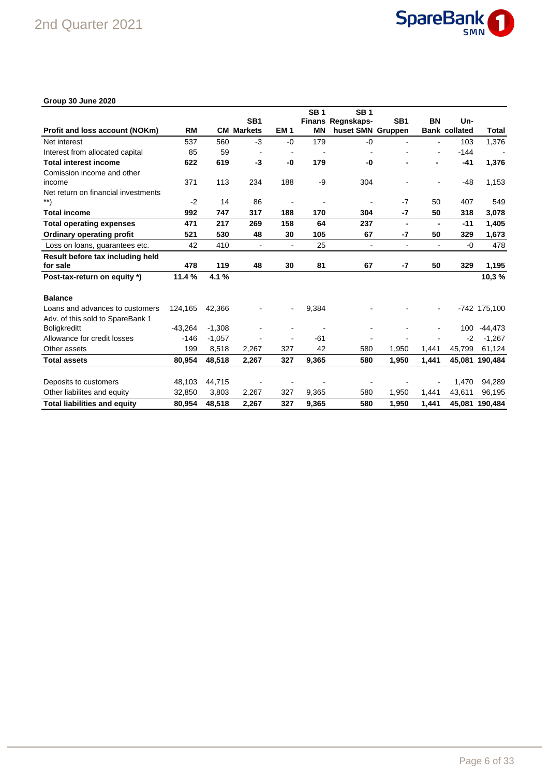

### **Group 30 June 2020**

|                                     |           |          |                   |                 | SB <sub>1</sub> | <b>SB1</b>               |                 |                |                      |                |
|-------------------------------------|-----------|----------|-------------------|-----------------|-----------------|--------------------------|-----------------|----------------|----------------------|----------------|
|                                     |           |          | SB <sub>1</sub>   |                 |                 | <b>Finans Regnskaps-</b> | SB <sub>1</sub> | BN             | Un-                  |                |
| Profit and loss account (NOKm)      | <b>RM</b> |          | <b>CM Markets</b> | EM <sub>1</sub> | <b>MN</b>       | huset SMN Gruppen        |                 |                | <b>Bank collated</b> | Total          |
| Net interest                        | 537       | 560      | $-3$              | $-0$            | 179             | $-0$                     | $\overline{a}$  | ÷              | 103                  | 1,376          |
| Interest from allocated capital     | 85        | 59       |                   | $\blacksquare$  |                 |                          |                 | $\overline{a}$ | $-144$               |                |
| <b>Total interest income</b>        | 622       | 619      | -3                | -0              | 179             | -0                       |                 |                | -41                  | 1,376          |
| Comission income and other          |           |          |                   |                 |                 |                          |                 |                |                      |                |
| income                              | 371       | 113      | 234               | 188             | -9              | 304                      |                 |                | $-48$                | 1,153          |
| Net return on financial investments |           |          |                   |                 |                 |                          |                 |                |                      |                |
| **)                                 | $-2$      | 14       | 86                |                 |                 |                          | $-7$            | 50             | 407                  | 549            |
| <b>Total income</b>                 | 992       | 747      | 317               | 188             | 170             | 304                      | $-7$            | 50             | 318                  | 3,078          |
| <b>Total operating expenses</b>     | 471       | 217      | 269               | 158             | 64              | 237                      | $\blacksquare$  |                | $-11$                | 1,405          |
| <b>Ordinary operating profit</b>    | 521       | 530      | 48                | 30              | 105             | 67                       | -7              | 50             | 329                  | 1,673          |
| Loss on loans, guarantees etc.      | 42        | 410      | $\blacksquare$    | $\blacksquare$  | 25              | $\blacksquare$           | $\blacksquare$  | $\blacksquare$ | $-0$                 | 478            |
| Result before tax including held    |           |          |                   |                 |                 |                          |                 |                |                      |                |
| for sale                            | 478       | 119      | 48                | 30              | 81              | 67                       | -7              | 50             | 329                  | 1,195          |
| Post-tax-return on equity *)        | 11.4%     | 4.1%     |                   |                 |                 |                          |                 |                |                      | 10,3%          |
| <b>Balance</b>                      |           |          |                   |                 |                 |                          |                 |                |                      |                |
| Loans and advances to customers     | 124,165   | 42,366   |                   |                 | 9,384           |                          |                 |                |                      | -742 175,100   |
| Adv. of this sold to SpareBank 1    |           |          |                   |                 |                 |                          |                 |                |                      |                |
| <b>Boligkreditt</b>                 | $-43.264$ | $-1,308$ |                   |                 |                 |                          |                 |                | 100                  | -44,473        |
| Allowance for credit losses         | $-146$    | $-1,057$ |                   |                 | $-61$           |                          |                 |                | $-2$                 | $-1,267$       |
| Other assets                        | 199       | 8,518    | 2,267             | 327             | 42              | 580                      | 1,950           | 1,441          | 45,799               | 61,124         |
| <b>Total assets</b>                 | 80,954    | 48,518   | 2,267             | 327             | 9,365           | 580                      | 1,950           | 1,441          | 45,081               | 190,484        |
|                                     |           |          |                   |                 |                 |                          |                 |                |                      |                |
| Deposits to customers               | 48,103    | 44,715   |                   |                 |                 |                          |                 |                | 1,470                | 94,289         |
| Other liabilites and equity         | 32,850    | 3,803    | 2,267             | 327             | 9,365           | 580                      | 1,950           | 1,441          | 43,611               | 96,195         |
| <b>Total liabilities and equity</b> | 80,954    | 48,518   | 2.267             | 327             | 9.365           | 580                      | 1,950           | 1.441          |                      | 45,081 190,484 |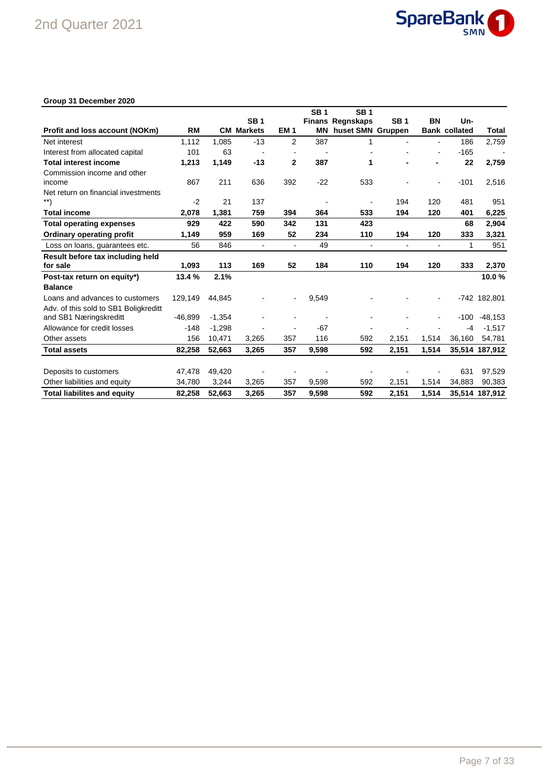

### **Group 31 December 2020**

|                                                                   |           |          |                   |                 | <b>SB1</b> | <b>SB1</b>              |                          |                          |                      |                |
|-------------------------------------------------------------------|-----------|----------|-------------------|-----------------|------------|-------------------------|--------------------------|--------------------------|----------------------|----------------|
|                                                                   |           |          | <b>SB1</b>        |                 |            | <b>Finans Regnskaps</b> | <b>SB1</b>               | <b>BN</b>                | Un-                  |                |
| Profit and loss account (NOKm)                                    | RM        |          | <b>CM Markets</b> | EM <sub>1</sub> | ΜN         | huset SMN Gruppen       |                          |                          | <b>Bank collated</b> | Total          |
| Net interest                                                      | 1.112     | 1,085    | $-13$             | $\overline{2}$  | 387        | 1                       |                          | $\overline{\phantom{a}}$ | 186                  | 2,759          |
| Interest from allocated capital                                   | 101       | 63       |                   |                 |            |                         |                          |                          | $-165$               |                |
| <b>Total interest income</b>                                      | 1,213     | 1,149    | $-13$             | $\overline{2}$  | 387        | 1                       |                          |                          | 22                   | 2,759          |
| Commission income and other                                       |           |          |                   |                 |            |                         |                          |                          |                      |                |
| income                                                            | 867       | 211      | 636               | 392             | $-22$      | 533                     |                          |                          | $-101$               | 2,516          |
| Net return on financial investments<br>$\left. \ast \ast \right)$ | $-2$      | 21       | 137               |                 |            |                         | 194                      | 120                      | 481                  | 951            |
|                                                                   |           |          |                   |                 |            |                         |                          |                          |                      |                |
| <b>Total income</b>                                               | 2,078     | 1,381    | 759               | 394             | 364        | 533                     | 194                      | 120                      | 401                  | 6,225          |
| <b>Total operating expenses</b>                                   | 929       | 422      | 590               | 342             | 131        | 423                     |                          |                          | 68                   | 2,904          |
| Ordinary operating profit                                         | 1,149     | 959      | 169               | 52              | 234        | 110                     | 194                      | 120                      | 333                  | 3,321          |
| Loss on loans, quarantees etc.                                    | 56        | 846      | $\blacksquare$    | $\blacksquare$  | 49         | $\blacksquare$          | $\overline{\phantom{a}}$ |                          | 1                    | 951            |
| Result before tax including held                                  |           |          |                   |                 |            |                         |                          |                          |                      |                |
| for sale                                                          | 1,093     | 113      | 169               | 52              | 184        | 110                     | 194                      | 120                      | 333                  | 2,370          |
| Post-tax return on equity*)                                       | 13.4 %    | 2.1%     |                   |                 |            |                         |                          |                          |                      | 10.0%          |
| <b>Balance</b>                                                    |           |          |                   |                 |            |                         |                          |                          |                      |                |
| Loans and advances to customers                                   | 129,149   | 44.845   |                   |                 | 9,549      |                         |                          |                          |                      | -742 182,801   |
| Adv. of this sold to SB1 Boligkreditt                             |           |          |                   |                 |            |                         |                          |                          |                      |                |
| and SB1 Næringskreditt                                            | $-46,899$ | $-1,354$ |                   |                 |            |                         |                          |                          | $-100$               | $-48,153$      |
| Allowance for credit losses                                       | $-148$    | $-1,298$ |                   |                 | $-67$      |                         |                          |                          | $-4$                 | $-1,517$       |
| Other assets                                                      | 156       | 10,471   | 3,265             | 357             | 116        | 592                     | 2,151                    | 1,514                    | 36,160               | 54,781         |
| <b>Total assets</b>                                               | 82,258    | 52,663   | 3,265             | 357             | 9,598      | 592                     | 2,151                    | 1,514                    |                      | 35,514 187,912 |
|                                                                   |           |          |                   |                 |            |                         |                          |                          |                      |                |
| Deposits to customers                                             | 47,478    | 49,420   |                   |                 |            |                         |                          |                          | 631                  | 97,529         |
| Other liabilities and equity                                      | 34,780    | 3,244    | 3,265             | 357             | 9,598      | 592                     | 2,151                    | 1,514                    | 34,883               | 90,383         |
| <b>Total liabilites and equity</b>                                | 82,258    | 52.663   | 3.265             | 357             | 9.598      | 592                     | 2.151                    | 1,514                    |                      | 35,514 187,912 |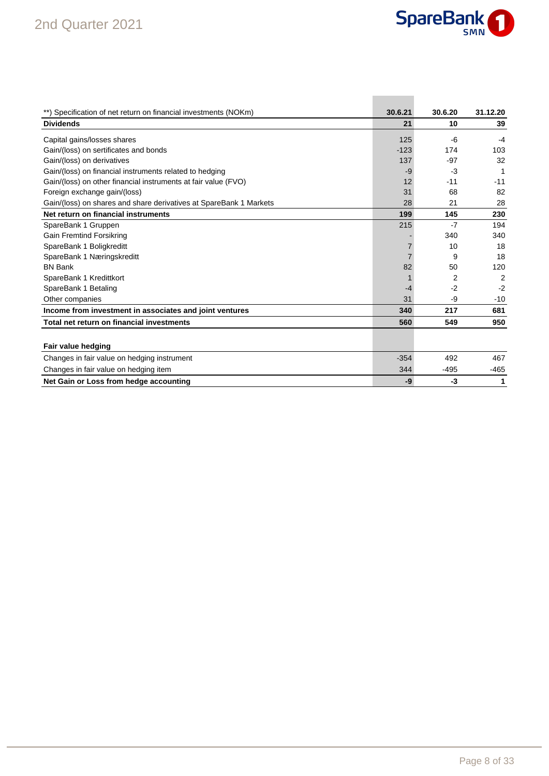

| **) Specification of net return on financial investments (NOKm)    | 30.6.21 | 30.6.20 | 31.12.20       |
|--------------------------------------------------------------------|---------|---------|----------------|
| <b>Dividends</b>                                                   | 21      | 10      | 39             |
| Capital gains/losses shares                                        | 125     | -6      | $-4$           |
| Gain/(loss) on sertificates and bonds                              | $-123$  | 174     | 103            |
| Gain/(loss) on derivatives                                         | 137     | $-97$   | 32             |
| Gain/(loss) on financial instruments related to hedging            | -9      | -3      | 1              |
| Gain/(loss) on other financial instruments at fair value (FVO)     | 12      | $-11$   | $-11$          |
| Foreign exchange gain/(loss)                                       | 31      | 68      | 82             |
| Gain/(loss) on shares and share derivatives at SpareBank 1 Markets | 28      | 21      | 28             |
| Net return on financial instruments                                | 199     | 145     | 230            |
| SpareBank 1 Gruppen                                                | 215     | $-7$    | 194            |
| <b>Gain Fremtind Forsikring</b>                                    |         | 340     | 340            |
| SpareBank 1 Boligkreditt                                           |         | 10      | 18             |
| SpareBank 1 Næringskreditt                                         |         | 9       | 18             |
| <b>BN Bank</b>                                                     | 82      | 50      | 120            |
| SpareBank 1 Kredittkort                                            |         | 2       | $\overline{2}$ |
| SpareBank 1 Betaling                                               | $-4$    | $-2$    | $-2$           |
| Other companies                                                    | 31      | $-9$    | $-10$          |
| Income from investment in associates and joint ventures            | 340     | 217     | 681            |
| Total net return on financial investments                          | 560     | 549     | 950            |
|                                                                    |         |         |                |
| Fair value hedging                                                 |         |         |                |
| Changes in fair value on hedging instrument                        | $-354$  | 492     | 467            |
| Changes in fair value on hedging item                              | 344     | $-495$  | $-465$         |
| Net Gain or Loss from hedge accounting                             | -9      | -3      | 1              |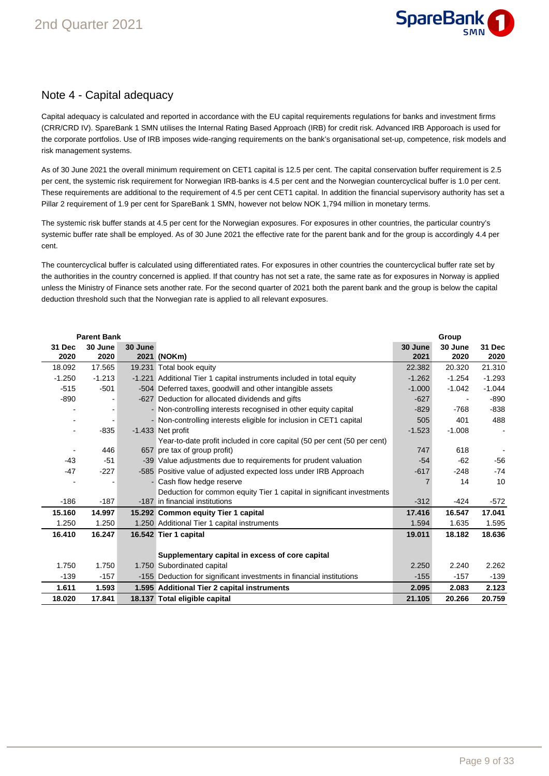

### Note 4 - Capital adequacy

Capital adequacy is calculated and reported in accordance with the EU capital requirements regulations for banks and investment firms (CRR/CRD IV). SpareBank 1 SMN utilises the Internal Rating Based Approach (IRB) for credit risk. Advanced IRB Apporoach is used for the corporate portfolios. Use of IRB imposes wide-ranging requirements on the bank's organisational set-up, competence, risk models and risk management systems.

As of 30 June 2021 the overall minimum requirement on CET1 capital is 12.5 per cent. The capital conservation buffer requirement is 2.5 per cent, the systemic risk requirement for Norwegian IRB-banks is 4.5 per cent and the Norwegian countercyclical buffer is 1.0 per cent. These requirements are additional to the requirement of 4.5 per cent CET1 capital. In addition the financial supervisory authority has set a Pillar 2 requirement of 1.9 per cent for SpareBank 1 SMN, however not below NOK 1,794 million in monetary terms.

The systemic risk buffer stands at 4.5 per cent for the Norwegian exposures. For exposures in other countries, the particular country's systemic buffer rate shall be employed. As of 30 June 2021 the effective rate for the parent bank and for the group is accordingly 4.4 per cent.

The countercyclical buffer is calculated using differentiated rates. For exposures in other countries the countercyclical buffer rate set by the authorities in the country concerned is applied. If that country has not set a rate, the same rate as for exposures in Norway is applied unless the Ministry of Finance sets another rate. For the second quarter of 2021 both the parent bank and the group is below the capital deduction threshold such that the Norwegian rate is applied to all relevant exposures.

|          | <b>Parent Bank</b> |         |                                                                         |          | Group    |          |
|----------|--------------------|---------|-------------------------------------------------------------------------|----------|----------|----------|
| 31 Dec   | 30 June            | 30 June |                                                                         | 30 June  | 30 June  | 31 Dec   |
| 2020     | 2020               |         | 2021 (NOKm)                                                             | 2021     | 2020     | 2020     |
| 18.092   | 17.565             |         | 19.231 Total book equity                                                | 22.382   | 20.320   | 21.310   |
| $-1.250$ | $-1.213$           |         | -1.221 Additional Tier 1 capital instruments included in total equity   | $-1.262$ | $-1.254$ | $-1.293$ |
| $-515$   | $-501$             |         | -504 Deferred taxes, goodwill and other intangible assets               | $-1.000$ | $-1.042$ | $-1.044$ |
| $-890$   |                    |         | -627 Deduction for allocated dividends and gifts                        | $-627$   |          | $-890$   |
|          |                    |         | - Non-controlling interests recognised in other equity capital          | $-829$   | $-768$   | $-838$   |
|          |                    |         | - Non-controlling interests eligible for inclusion in CET1 capital      | 505      | 401      | 488      |
|          | $-835$             |         | -1.433 Net profit                                                       | $-1.523$ | $-1.008$ |          |
|          |                    |         | Year-to-date profit included in core capital (50 per cent (50 per cent) |          |          |          |
|          | 446                |         | 657 pre tax of group profit)                                            | 747      | 618      |          |
| $-43$    | $-51$              |         | -39 Value adjustments due to requirements for prudent valuation         | $-54$    | $-62$    | -56      |
| $-47$    | $-227$             |         | -585 Positive value of adjusted expected loss under IRB Approach        | $-617$   | $-248$   | $-74$    |
|          |                    |         | - Cash flow hedge reserve                                               |          | 14       | 10       |
|          |                    |         | Deduction for common equity Tier 1 capital in significant investments   |          |          |          |
| $-186$   | $-187$             |         | -187 in financial institutions                                          | $-312$   | $-424$   | $-572$   |
| 15.160   | 14.997             |         | 15.292 Common equity Tier 1 capital                                     | 17.416   | 16.547   | 17.041   |
| 1.250    | 1.250              |         | 1.250 Additional Tier 1 capital instruments                             | 1.594    | 1.635    | 1.595    |
| 16.410   | 16.247             |         | 16.542 Tier 1 capital                                                   | 19.011   | 18.182   | 18.636   |
|          |                    |         |                                                                         |          |          |          |
|          |                    |         | Supplementary capital in excess of core capital                         |          |          |          |
| 1.750    | 1.750              |         | 1.750 Subordinated capital                                              | 2.250    | 2.240    | 2.262    |
| $-139$   | $-157$             |         | -155 Deduction for significant investments in financial institutions    | $-155$   | $-157$   | $-139$   |
| 1.611    | 1.593              |         | 1.595 Additional Tier 2 capital instruments                             | 2.095    | 2.083    | 2.123    |
| 18.020   | 17.841             |         | 18.137 Total eligible capital                                           | 21.105   | 20.266   | 20.759   |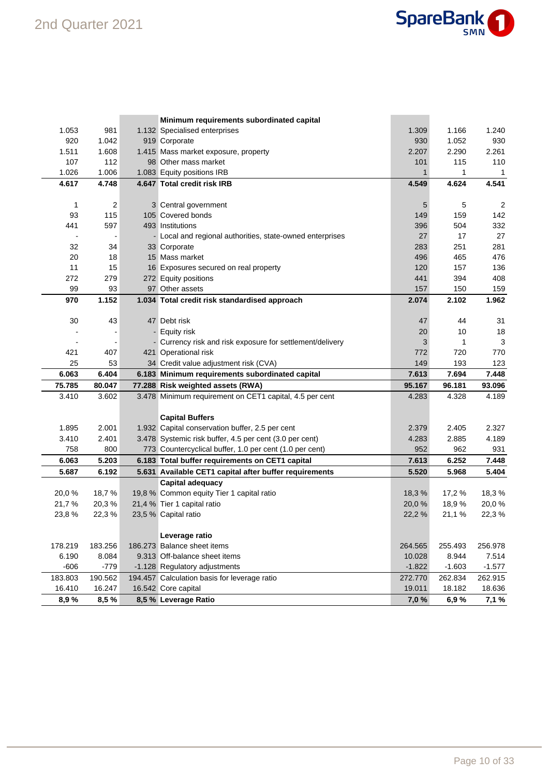

|         |         | Minimum requirements subordinated capital                 |              |          |                |
|---------|---------|-----------------------------------------------------------|--------------|----------|----------------|
| 1.053   | 981     | 1.132 Specialised enterprises                             | 1.309        | 1.166    | 1.240          |
| 920     | 1.042   | 919 Corporate                                             | 930          | 1.052    | 930            |
| 1.511   | 1.608   | 1.415 Mass market exposure, property                      | 2.207        | 2.290    | 2.261          |
| 107     | 112     | 98 Other mass market                                      | 101          | 115      | 110            |
| 1.026   | 1.006   | 1.083 Equity positions IRB                                | $\mathbf{1}$ | 1        | $\mathbf{1}$   |
| 4.617   | 4.748   | 4.647 Total credit risk IRB                               | 4.549        | 4.624    | 4.541          |
|         |         |                                                           |              |          |                |
| 1       | 2       | 3 Central government                                      | 5            | 5        | $\overline{c}$ |
| 93      | 115     | 105 Covered bonds                                         | 149          | 159      | 142            |
| 441     | 597     | 493 Institutions                                          | 396          | 504      | 332            |
|         |         | - Local and regional authorities, state-owned enterprises | 27           | 17       | 27             |
| 32      | 34      | 33 Corporate                                              | 283          | 251      | 281            |
| 20      | 18      | 15 Mass market                                            | 496          | 465      | 476            |
| 11      | 15      | 16 Exposures secured on real property                     | 120          | 157      | 136            |
| 272     | 279     | 272 Equity positions                                      | 441          | 394      | 408            |
| 99      | 93      | 97 Other assets                                           | 157          | 150      | 159            |
| 970     | 1.152   | 1.034 Total credit risk standardised approach             | 2.074        | 2.102    | 1.962          |
|         |         |                                                           |              |          |                |
| 30      | 43      | 47 Debt risk                                              | 47           | 44       | 31             |
|         |         | - Equity risk                                             | 20           | 10       | 18             |
|         |         | - Currency risk and risk exposure for settlement/delivery | 3            | 1        | 3              |
| 421     | 407     | 421 Operational risk                                      | 772          | 720      | 770            |
| 25      | 53      | 34 Credit value adjustment risk (CVA)                     | 149          | 193      | 123            |
| 6.063   | 6.404   | 6.183 Minimum requirements subordinated capital           | 7.613        | 7.694    | 7.448          |
| 75.785  | 80.047  | 77.288 Risk weighted assets (RWA)                         | 95.167       | 96.181   | 93.096         |
| 3.410   | 3.602   | 3.478 Minimum requirement on CET1 capital, 4.5 per cent   | 4.283        | 4.328    | 4.189          |
|         |         |                                                           |              |          |                |
|         |         | <b>Capital Buffers</b>                                    |              |          |                |
| 1.895   | 2.001   | 1.932 Capital conservation buffer, 2.5 per cent           | 2.379        | 2.405    | 2.327          |
| 3.410   | 2.401   | 3.478 Systemic risk buffer, 4.5 per cent (3.0 per cent)   | 4.283        | 2.885    | 4.189          |
| 758     | 800     | 773 Countercyclical buffer, 1.0 per cent (1.0 per cent)   | 952          | 962      | 931            |
| 6.063   | 5.203   | 6.183 Total buffer requirements on CET1 capital           | 7.613        | 6.252    | 7.448          |
| 5.687   | 6.192   | 5.631 Available CET1 capital after buffer requirements    | 5.520        | 5.968    | 5.404          |
|         |         | <b>Capital adequacy</b>                                   |              |          |                |
| 20,0%   | 18,7%   | 19,8 % Common equity Tier 1 capital ratio                 | 18,3%        | 17,2 %   | 18,3%          |
| 21,7%   | 20,3%   | 21,4 % Tier 1 capital ratio                               | 20,0%        | 18,9%    | 20,0%          |
| 23,8%   | 22,3%   | 23,5 % Capital ratio                                      | 22,2 %       | 21,1 %   | 22,3%          |
|         |         |                                                           |              |          |                |
|         |         | Leverage ratio                                            |              |          |                |
| 178.219 | 183.256 | 186.273 Balance sheet items                               | 264.565      | 255.493  | 256.978        |
| 6.190   | 8.084   | 9.313 Off-balance sheet items                             | 10.028       | 8.944    | 7.514          |
| $-606$  | $-779$  | -1.128 Regulatory adjustments                             | $-1.822$     | $-1.603$ | $-1.577$       |
| 183.803 | 190.562 | 194.457 Calculation basis for leverage ratio              | 272.770      | 262.834  | 262.915        |
| 16.410  | 16.247  | 16.542 Core capital                                       | 19.011       | 18.182   | 18.636         |
| 8,9%    | 8,5%    | 8,5 % Leverage Ratio                                      | 7,0%         | 6,9%     | 7,1 %          |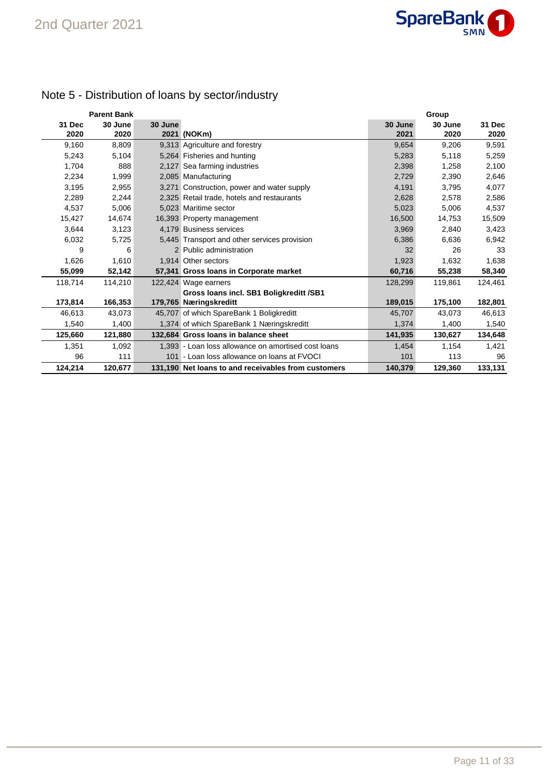

## Note 5 - Distribution of loans by sector/industry

|                | <b>Parent Bank</b> |         |                                                     |                 | Group           |                |
|----------------|--------------------|---------|-----------------------------------------------------|-----------------|-----------------|----------------|
| 31 Dec<br>2020 | 30 June<br>2020    | 30 June | 2021 (NOKm)                                         | 30 June<br>2021 | 30 June<br>2020 | 31 Dec<br>2020 |
| 9,160          | 8,809              |         | 9,313 Agriculture and forestry                      | 9,654           | 9,206           | 9,591          |
| 5,243          | 5,104              |         | 5,264 Fisheries and hunting                         | 5,283           | 5,118           | 5,259          |
| 1,704          | 888                |         | 2,127 Sea farming industries                        | 2,398           | 1,258           | 2,100          |
| 2,234          | 1,999              |         | 2,085 Manufacturing                                 | 2,729           | 2,390           | 2,646          |
| 3,195          | 2,955              |         | 3,271 Construction, power and water supply          | 4,191           | 3,795           | 4,077          |
| 2,289          | 2,244              |         | 2,325 Retail trade, hotels and restaurants          | 2,628           | 2,578           | 2,586          |
| 4,537          | 5,006              |         | 5.023 Maritime sector                               | 5,023           | 5,006           | 4,537          |
| 15,427         | 14,674             |         | 16,393 Property management                          | 16,500          | 14,753          | 15,509         |
| 3,644          | 3,123              |         | 4,179 Business services                             | 3,969           | 2,840           | 3,423          |
| 6,032          | 5,725              |         | 5,445 Transport and other services provision        | 6,386           | 6,636           | 6,942          |
| 9              | 6                  |         | 2 Public administration                             | 32              | 26              | 33             |
| 1,626          | 1,610              |         | 1,914 Other sectors                                 | 1,923           | 1,632           | 1,638          |
| 55,099         | 52,142             |         | 57,341 Gross loans in Corporate market              | 60,716          | 55,238          | 58,340         |
| 118,714        | 114,210            |         | 122,424 Wage earners                                | 128,299         | 119,861         | 124.461        |
|                |                    |         | Gross Ioans incl. SB1 Boligkreditt /SB1             |                 |                 |                |
| 173,814        | 166,353            |         | 179,765 Næringskreditt                              | 189,015         | 175,100         | 182,801        |
| 46,613         | 43,073             |         | 45,707 of which SpareBank 1 Boligkreditt            | 45,707          | 43,073          | 46,613         |
| 1,540          | 1,400              |         | 1,374 of which SpareBank 1 Næringskreditt           | 1,374           | 1,400           | 1,540          |
| 125,660        | 121,880            |         | 132.684 Gross Ioans in balance sheet                | 141,935         | 130,627         | 134,648        |
| 1,351          | 1,092              |         | 1.393 - Loan loss allowance on amortised cost loans | 1,454           | 1,154           | 1,421          |
| 96             | 111                |         | 101 - Loan loss allowance on loans at FVOCI         | 101             | 113             | 96             |
| 124,214        | 120,677            |         | 131.190 Net loans to and receivables from customers | 140,379         | 129,360         | 133,131        |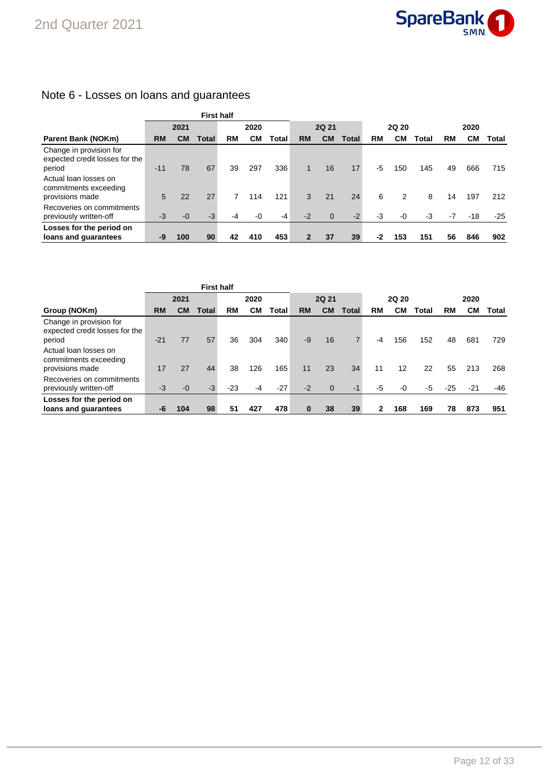

## Note 6 - Losses on loans and guarantees

|                                                                     |           |           | <b>First half</b> |      |      |       |              |                |       |              |      |       |      |       |       |
|---------------------------------------------------------------------|-----------|-----------|-------------------|------|------|-------|--------------|----------------|-------|--------------|------|-------|------|-------|-------|
|                                                                     | 2021      |           |                   | 2020 |      |       | <b>2Q 21</b> |                |       | <b>2Q 20</b> |      |       | 2020 |       |       |
| <b>Parent Bank (NOKm)</b>                                           | <b>RM</b> | <b>CM</b> | Total             | RM   | CМ   | Total | <b>RM</b>    | <b>CM</b>      | Total | <b>RM</b>    | CМ   | Total | RM   | CМ    | Total |
| Change in provision for<br>expected credit losses for the<br>period | $-11$     | 78        | 67                | 39   | 297  | 336   | 1            | 16             | 17    | -5           | 150  | 145   | 49   | 666   | 715   |
| Actual loan losses on<br>commitments exceeding                      |           |           |                   |      |      |       |              |                |       |              |      |       |      |       |       |
| provisions made<br>Recoveries on commitments                        | 5         | 22        | 27                | 7    | 114  | 121   | 3            | 21             | 24    | 6            | 2    | 8     | 14   | 197   | 212   |
| previously written-off                                              | $-3$      | $-0$      | $-3$              | -4   | $-0$ | $-4$  | $-2$         | $\overline{0}$ | $-2$  | -3           | $-0$ | $-3$  | $-7$ | $-18$ | $-25$ |
| Losses for the period on                                            |           |           |                   |      |      |       |              |                |       |              |      |       |      |       |       |
| loans and guarantees                                                | -9        | 100       | 90                | 42   | 410  | 453   |              | 37             | 39    | -2           | 153  | 151   | 56   | 846   | 902   |

|                                                                     |           |           | <b>First half</b> |       |           |       |              |             |              |       |     |       |       |           |       |
|---------------------------------------------------------------------|-----------|-----------|-------------------|-------|-----------|-------|--------------|-------------|--------------|-------|-----|-------|-------|-----------|-------|
|                                                                     | 2021      |           |                   | 2020  |           |       | <b>2Q 21</b> |             |              | 2Q 20 |     |       | 2020  |           |       |
| Group (NOKm)                                                        | <b>RM</b> | <b>CM</b> | <b>Total</b>      | RM    | <b>CM</b> | Total | <b>RM</b>    | <b>CM</b>   | <b>Total</b> | RM    | CМ  | Total | RM    | <b>CM</b> | Total |
| Change in provision for<br>expected credit losses for the<br>period | $-21$     | 77        | 57                | 36    | 304       | 340   | $-9$         | 16          |              | -4    | 156 | 152   | 48    | 681       | 729   |
| Actual loan losses on<br>commitments exceeding<br>provisions made   | 17        | 27        | 44                | 38    | 126       | 165   | 11           | 23          | 34           | 11    | 12  | 22    | 55    | 213       | 268   |
| Recoveries on commitments<br>previously written-off                 | $-3$      | $-0$      | $-3$              | $-23$ | $-4$      | $-27$ | $-2$         | $\mathbf 0$ | $-1$         | -5    | -0  | -5    | $-25$ | $-21$     | -46   |
| Losses for the period on<br>loans and guarantees                    | -6        | 104       | 98                | 51    | 427       | 478   | $\bf{0}$     | 38          | 39           | 2     | 168 | 169   | 78    | 873       | 951   |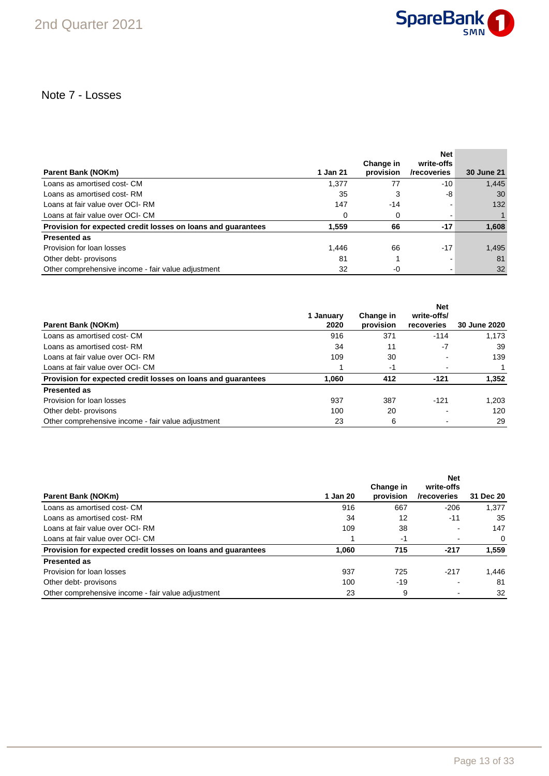

## Note 7 - Losses

| Parent Bank (NOKm)                                           | 1 Jan 21 | Change in<br>provision | <b>Net</b><br>write-offs<br>/recoveries | <b>30 June 21</b> |
|--------------------------------------------------------------|----------|------------------------|-----------------------------------------|-------------------|
|                                                              |          |                        |                                         |                   |
| Loans as amortised cost- CM                                  | 1.377    | 77                     | -10                                     | 1,445             |
| Loans as amortised cost-RM                                   | 35       | 3                      | -8                                      | 30                |
| Loans at fair value over OCI-RM                              | 147      | -14                    |                                         | 132               |
| Loans at fair value over OCI- CM                             | 0        | 0                      |                                         |                   |
| Provision for expected credit losses on loans and guarantees | 1.559    | 66                     | $-17$                                   | 1,608             |
| <b>Presented as</b>                                          |          |                        |                                         |                   |
| Provision for loan losses                                    | 1.446    | 66                     | $-17$                                   | 1,495             |
| Other debt- provisons                                        | 81       |                        |                                         | 81                |
| Other comprehensive income - fair value adjustment           | 32       | -0                     |                                         | 32                |

|                                                              | 1 Januarv | Change in | <b>Net</b><br>write-offs/ |              |
|--------------------------------------------------------------|-----------|-----------|---------------------------|--------------|
| Parent Bank (NOKm)                                           | 2020      | provision | recoveries                | 30 June 2020 |
| Loans as amortised cost- CM                                  | 916       | 371       | $-114$                    | 1.173        |
| Loans as amortised cost-RM                                   | 34        | 11        | $-7$                      | 39           |
| Loans at fair value over OCI-RM                              | 109       | 30        |                           | 139          |
| Loans at fair value over OCI- CM                             |           | -1        |                           |              |
| Provision for expected credit losses on loans and quarantees | 1,060     | 412       | $-121$                    | 1,352        |
| <b>Presented as</b>                                          |           |           |                           |              |
| Provision for loan losses                                    | 937       | 387       | $-121$                    | 1,203        |
| Other debt- provisons                                        | 100       | 20        |                           | 120          |
| Other comprehensive income - fair value adjustment           | 23        | 6         |                           | 29           |

|                                                              |          | Change in | <b>Net</b><br>write-offs |           |
|--------------------------------------------------------------|----------|-----------|--------------------------|-----------|
| Parent Bank (NOKm)                                           | 1 Jan 20 | provision | /recoveries              | 31 Dec 20 |
| Loans as amortised cost- CM                                  | 916      | 667       | $-206$                   | 1.377     |
| Loans as amortised cost-RM                                   | 34       | 12        | $-11$                    | 35        |
| Loans at fair value over OCI-RM                              | 109      | 38        |                          | 147       |
| Loans at fair value over OCI- CM                             |          | -1        |                          | $\Omega$  |
| Provision for expected credit losses on loans and guarantees | 1,060    | 715       | $-217$                   | 1,559     |
| <b>Presented as</b>                                          |          |           |                          |           |
| Provision for loan losses                                    | 937      | 725       | $-217$                   | 1.446     |
| Other debt- provisons                                        | 100      | $-19$     |                          | 81        |
| Other comprehensive income - fair value adjustment           | 23       | 9         |                          | 32        |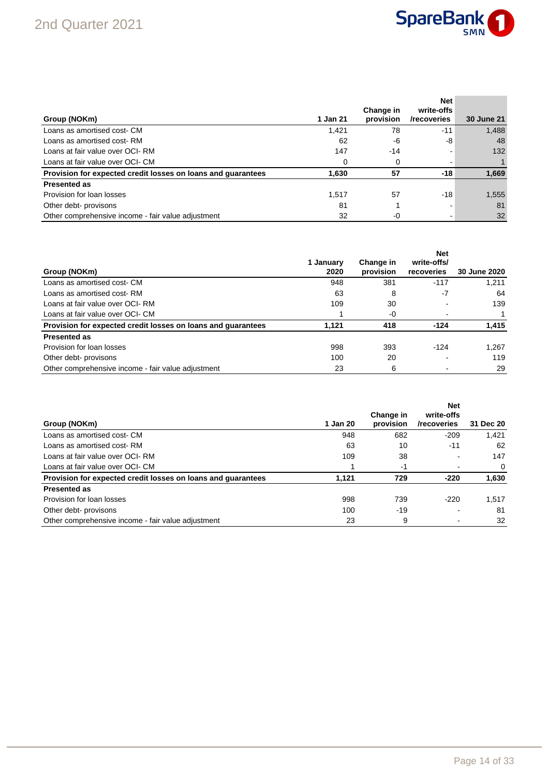

| Group (NOKm)                                                 | 1 Jan 21 | Change in<br>provision | <b>Net</b><br>write-offs<br>/recoveries | <b>30 June 21</b> |
|--------------------------------------------------------------|----------|------------------------|-----------------------------------------|-------------------|
| Loans as amortised cost- CM                                  | 1,421    | 78                     | -11                                     | 1,488             |
| Loans as amortised cost-RM                                   | 62       | -6                     | -8                                      | 48                |
| Loans at fair value over OCI-RM                              | 147      | $-14$                  |                                         | 132               |
| Loans at fair value over OCI- CM                             | $\Omega$ |                        |                                         |                   |
| Provision for expected credit losses on loans and guarantees | 1,630    | 57                     | -18                                     | 1,669             |
| <b>Presented as</b>                                          |          |                        |                                         |                   |
| Provision for loan losses                                    | 1.517    | 57                     | $-18$                                   | 1,555             |
| Other debt- provisons                                        | 81       |                        |                                         | 81                |
| Other comprehensive income - fair value adjustment           | 32       | $-0$                   |                                         | 32                |

|                                                              |                   |                        | <b>Net</b>                |              |
|--------------------------------------------------------------|-------------------|------------------------|---------------------------|--------------|
| Group (NOKm)                                                 | 1 January<br>2020 | Change in<br>provision | write-offs/<br>recoveries | 30 June 2020 |
| Loans as amortised cost- CM                                  | 948               | 381                    | $-117$                    | 1.211        |
| Loans as amortised cost-RM                                   | 63                | 8                      | -7                        | 64           |
| Loans at fair value over OCI-RM                              | 109               | 30                     |                           | 139          |
| Loans at fair value over OCI- CM                             |                   | -0                     |                           |              |
| Provision for expected credit losses on loans and quarantees | 1.121             | 418                    | $-124$                    | 1,415        |
| <b>Presented as</b>                                          |                   |                        |                           |              |
| Provision for loan losses                                    | 998               | 393                    | $-124$                    | 1.267        |
| Other debt- provisons                                        | 100               | 20                     |                           | 119          |
| Other comprehensive income - fair value adjustment           | 23                | 6                      |                           | 29           |

| Group (NOKm)                                                 | 1 Jan 20 | Change in<br>provision | <b>Net</b><br>write-offs<br>/recoveries | 31 Dec 20 |
|--------------------------------------------------------------|----------|------------------------|-----------------------------------------|-----------|
| Loans as amortised cost- CM                                  | 948      | 682                    | $-209$                                  | 1.421     |
| Loans as amortised cost-RM                                   | 63       | 10                     | $-11$                                   | 62        |
| Loans at fair value over OCI-RM                              | 109      | 38                     |                                         | 147       |
| Loans at fair value over OCI- CM                             |          | -1                     |                                         | $\Omega$  |
| Provision for expected credit losses on loans and quarantees | 1.121    | 729                    | $-220$                                  | 1,630     |
| <b>Presented as</b>                                          |          |                        |                                         |           |
| Provision for loan losses                                    | 998      | 739                    | $-220$                                  | 1.517     |
| Other debt- provisons                                        | 100      | $-19$                  |                                         | 81        |
| Other comprehensive income - fair value adjustment           | 23       | 9                      |                                         | 32        |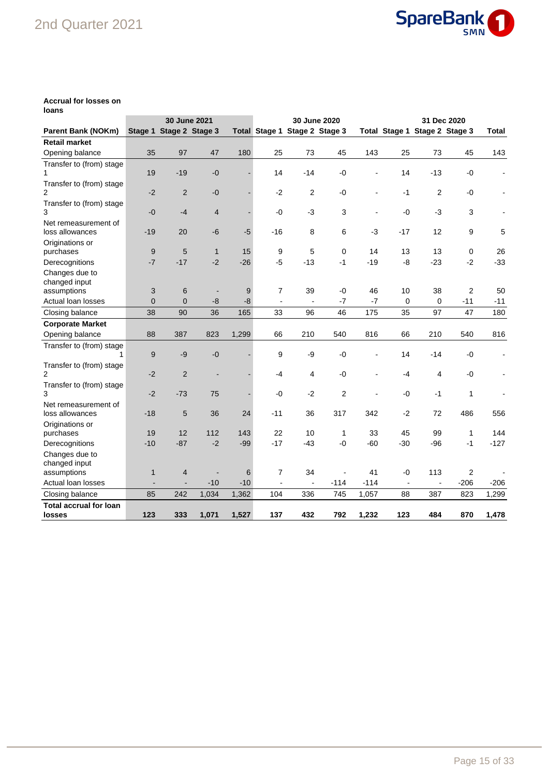## 2nd Quarter 2021



#### **Accrual for losses on loans**

|                               |                | 30 June 2021            |                |       |                          |                               | 30 June 2020   |        | 31 Dec 2020    |                               |        |                |  |
|-------------------------------|----------------|-------------------------|----------------|-------|--------------------------|-------------------------------|----------------|--------|----------------|-------------------------------|--------|----------------|--|
| <b>Parent Bank (NOKm)</b>     |                | Stage 1 Stage 2 Stage 3 |                |       |                          | Total Stage 1 Stage 2 Stage 3 |                |        |                | Total Stage 1 Stage 2 Stage 3 |        | Total          |  |
| <b>Retail market</b>          |                |                         |                |       |                          |                               |                |        |                |                               |        |                |  |
| Opening balance               | 35             | 97                      | 47             | 180   | 25                       | 73                            | 45             | 143    | 25             | 73                            | 45     | 143            |  |
| Transfer to (from) stage      |                |                         |                |       |                          |                               |                |        |                |                               |        |                |  |
| 1                             | 19             | $-19$                   | $-0$           |       | 14                       | $-14$                         | $-0$           |        | 14             | $-13$                         | $-0$   | $\blacksquare$ |  |
| Transfer to (from) stage      |                |                         |                |       |                          |                               |                |        |                |                               |        |                |  |
| $\overline{2}$                | $-2$           | $\overline{2}$          | $-0$           |       | $-2$                     | $\overline{c}$                | $-0$           |        | $-1$           | $\overline{2}$                | -0     |                |  |
| Transfer to (from) stage      |                |                         |                |       |                          |                               |                |        |                |                               |        |                |  |
| 3                             | $-0$           | $-4$                    | $\overline{4}$ |       | $-0$                     | $-3$                          | 3              |        | $-0$           | $-3$                          | 3      |                |  |
| Net remeasurement of          |                |                         |                |       |                          |                               |                |        |                |                               |        |                |  |
| loss allowances               | $-19$          | 20                      | $-6$           | $-5$  | $-16$                    | 8                             | 6              | $-3$   | $-17$          | 12                            | 9      | 5              |  |
| Originations or               |                |                         |                |       |                          |                               |                |        |                |                               |        |                |  |
| purchases                     | 9              | 5                       | $\mathbf{1}$   | 15    | 9                        | 5                             | $\mathbf 0$    | 14     | 13             | 13                            | 0      | 26             |  |
| Derecognitions                | $-7$           | $-17$                   | $-2$           | $-26$ | $-5$                     | $-13$                         | $-1$           | $-19$  | -8             | $-23$                         | $-2$   | $-33$          |  |
| Changes due to                |                |                         |                |       |                          |                               |                |        |                |                               |        |                |  |
| changed input                 |                |                         |                |       |                          |                               |                |        |                |                               |        |                |  |
| assumptions                   | 3              | 6                       | $\blacksquare$ | 9     | $\overline{7}$           | 39                            | -0             | 46     | 10             | 38                            | 2      | 50             |  |
| Actual loan losses            | $\overline{0}$ | $\overline{0}$          | $-8$           | $-8$  | $\blacksquare$           | $\blacksquare$                | $-7$           | $-7$   | 0              | $\mathbf 0$                   | $-11$  | $-11$          |  |
| Closing balance               | 38             | 90                      | 36             | 165   | 33                       | 96                            | 46             | 175    | 35             | 97                            | 47     | 180            |  |
| <b>Corporate Market</b>       |                |                         |                |       |                          |                               |                |        |                |                               |        |                |  |
| Opening balance               | 88             | 387                     | 823            | 1,299 | 66                       | 210                           | 540            | 816    | 66             | 210                           | 540    | 816            |  |
| Transfer to (from) stage      |                |                         |                |       |                          |                               |                |        |                |                               |        |                |  |
|                               | 9              | $-9$                    | $-0$           |       | 9                        | -9                            | $-0$           |        | 14             | $-14$                         | $-0$   | ÷              |  |
| Transfer to (from) stage      |                |                         |                |       |                          |                               |                |        |                |                               |        |                |  |
| 2                             | $-2$           | $\overline{2}$          | $\overline{a}$ |       | -4                       | 4                             | $-0$           |        | -4             | 4                             | -0     |                |  |
| Transfer to (from) stage      |                |                         |                |       |                          |                               |                |        |                |                               |        |                |  |
| 3                             | $-2$           | $-73$                   | 75             |       | $-0$                     | $-2$                          | $\overline{2}$ |        | -0             | $-1$                          | 1      |                |  |
| Net remeasurement of          |                |                         |                |       |                          |                               |                |        |                |                               |        |                |  |
| loss allowances               | $-18$          | 5                       | 36             | 24    | $-11$                    | 36                            | 317            | 342    | $-2$           | 72                            | 486    | 556            |  |
| Originations or               |                |                         |                |       |                          |                               |                |        |                |                               |        |                |  |
| purchases                     | 19             | 12                      | 112            | 143   | 22                       | 10                            | 1              | 33     | 45             | 99                            | 1      | 144            |  |
| Derecognitions                | $-10$          | $-87$                   | $-2$           | $-99$ | $-17$                    | $-43$                         | $-0$           | -60    | $-30$          | $-96$                         | $-1$   | $-127$         |  |
| Changes due to                |                |                         |                |       |                          |                               |                |        |                |                               |        |                |  |
| changed input                 |                |                         |                |       |                          |                               |                |        |                |                               |        |                |  |
| assumptions                   | $\mathbf{1}$   | $\overline{4}$          |                | 6     | 7                        | 34                            |                | 41     | -0             | 113                           | 2      |                |  |
| Actual loan losses            |                |                         | $-10$          | $-10$ | $\overline{\phantom{a}}$ |                               | $-114$         | $-114$ | $\blacksquare$ |                               | $-206$ | $-206$         |  |
| Closing balance               | 85             | 242                     | 1,034          | 1,362 | 104                      | 336                           | 745            | 1,057  | 88             | 387                           | 823    | 1,299          |  |
| <b>Total accrual for loan</b> |                |                         |                |       |                          |                               |                |        |                |                               |        |                |  |
| losses                        | 123            | 333                     | 1,071          | 1,527 | 137                      | 432                           | 792            | 1,232  | 123            | 484                           | 870    | 1,478          |  |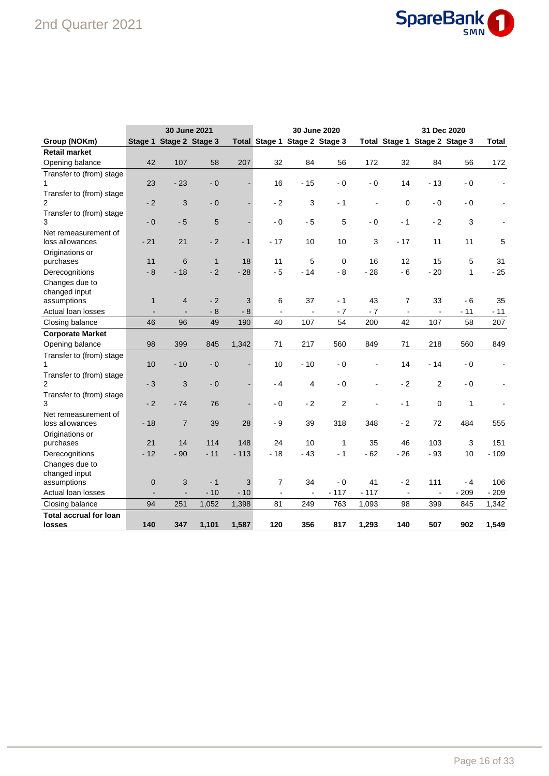## 2nd Quarter 2021



|                                         |                |                         | 30 June 2021 |        |                               |                | 30 June 2020   |                |                               |                | 31 Dec 2020  |                |
|-----------------------------------------|----------------|-------------------------|--------------|--------|-------------------------------|----------------|----------------|----------------|-------------------------------|----------------|--------------|----------------|
| Group (NOKm)                            |                | Stage 1 Stage 2 Stage 3 |              |        | Total Stage 1 Stage 2 Stage 3 |                |                |                | Total Stage 1 Stage 2 Stage 3 |                |              | <b>Total</b>   |
| <b>Retail market</b>                    |                |                         |              |        |                               |                |                |                |                               |                |              |                |
| Opening balance                         | 42             | 107                     | 58           | 207    | 32                            | 84             | 56             | 172            | 32                            | 84             | 56           | 172            |
| Transfer to (from) stage                |                |                         |              |        |                               |                |                |                |                               |                |              |                |
| 1                                       | 23             | $-23$                   | $-0$         |        | 16                            | $-15$          | $-0$           | $-0$           | 14                            | $-13$          | - 0          | $\blacksquare$ |
| Transfer to (from) stage                |                |                         |              |        |                               |                |                |                |                               |                |              |                |
| 2                                       | $-2$           | 3                       | $-0$         |        | $-2$                          | 3              | - 1            | $\blacksquare$ | $\mathbf 0$                   | $-0$           | - 0          |                |
| Transfer to (from) stage                |                |                         |              |        |                               |                |                |                |                               |                |              |                |
| 3                                       | $-0$           | $-5$                    | 5            |        | $-0$                          | $-5$           | 5              | $-0$           | $-1$                          | $-2$           | 3            |                |
| Net remeasurement of                    |                |                         |              |        |                               |                |                |                |                               |                |              |                |
| loss allowances                         | $-21$          | 21                      | $-2$         | $-1$   | $-17$                         | 10             | 10             | 3              | $-17$                         | 11             | 11           | 5              |
| Originations or                         |                |                         |              |        |                               |                |                |                |                               |                |              |                |
| purchases                               | 11             | 6                       | $\mathbf{1}$ | 18     | 11                            | 5              | $\mathbf 0$    | 16             | 12                            | 15             | 5            | 31             |
| Derecognitions                          | $-8$           | $-18$                   | $-2$         | $-28$  | $-5$                          | $-14$          | $-8$           | $-28$          | $-6$                          | $-20$          | 1            | $-25$          |
| Changes due to                          |                |                         |              |        |                               |                |                |                |                               |                |              |                |
| changed input                           |                |                         |              |        |                               |                |                |                |                               |                |              |                |
| assumptions                             | $\mathbf{1}$   | 4                       | $-2$         | 3      | 6                             | 37             | $-1$           | 43             | 7                             | 33             | - 6          | 35             |
| Actual loan losses                      |                |                         | $-8$         | $-8$   | $\overline{a}$                | $\overline{a}$ | $-7$           | $-7$           | $\overline{a}$                | $\overline{a}$ | $-11$        | $-11$          |
| Closing balance                         | 46             | 96                      | 49           | 190    | 40                            | 107            | 54             | 200            | 42                            | 107            | 58           | 207            |
| <b>Corporate Market</b>                 |                |                         |              |        |                               |                |                |                |                               |                |              |                |
| Opening balance                         | 98             | 399                     | 845          | 1,342  | 71                            | 217            | 560            | 849            | 71                            | 218            | 560          | 849            |
| Transfer to (from) stage                |                |                         |              |        |                               |                |                |                |                               |                |              |                |
| 1                                       | 10             | $-10$                   | $-0$         |        | 10                            | $-10$          | $-0$           | ÷,             | 14                            | - 14           | - 0          |                |
| Transfer to (from) stage                |                |                         |              |        |                               |                |                |                |                               |                |              |                |
| $\overline{2}$                          | $-3$           | 3                       | $-0$         |        | - 4                           | 4              | $-0$           | $\blacksquare$ | $-2$                          | 2              | - 0          |                |
| Transfer to (from) stage                |                |                         |              |        |                               |                |                |                |                               |                |              |                |
| 3                                       | $-2$           | $-74$                   | 76           |        | $-0$                          | $-2$           | $\overline{2}$ |                | $-1$                          | $\mathbf 0$    | $\mathbf{1}$ |                |
| Net remeasurement of                    |                |                         |              |        |                               |                |                |                |                               |                |              |                |
| loss allowances                         | $-18$          | $\overline{7}$          | 39           | 28     | $-9$                          | 39             | 318            | 348            | $-2$                          | 72             | 484          | 555            |
| Originations or                         | 21             | 14                      | 114          | 148    | 24                            | 10             |                | 35             | 46                            |                |              |                |
| purchases                               |                |                         |              |        |                               |                | 1              |                |                               | 103            | 3            | 151            |
| Derecognitions                          | $-12$          | $-90$                   | $-11$        | $-113$ | $-18$                         | $-43$          | $-1$           | $-62$          | $-26$                         | $-93$          | 10           | $-109$         |
| Changes due to                          |                |                         |              |        |                               |                |                |                |                               |                |              |                |
| changed input<br>assumptions            | $\pmb{0}$      | 3                       | $-1$         | 3      | 7                             | 34             | $-0$           | 41             | $-2$                          | 111            | - 4          | 106            |
| Actual loan losses                      | $\blacksquare$ |                         | $-10$        | $-10$  | $\blacksquare$                | $\blacksquare$ | $-117$         | $-117$         | $\overline{\phantom{a}}$      | $\blacksquare$ | $-209$       | $-209$         |
| Closing balance                         | 94             | 251                     | 1,052        | 1,398  | 81                            | 249            | 763            | 1,093          | 98                            | 399            | 845          | 1,342          |
|                                         |                |                         |              |        |                               |                |                |                |                               |                |              |                |
| <b>Total accrual for loan</b><br>losses | 140            | 347                     | 1,101        | 1,587  | 120                           | 356            | 817            | 1,293          | 140                           | 507            | 902          | 1,549          |
|                                         |                |                         |              |        |                               |                |                |                |                               |                |              |                |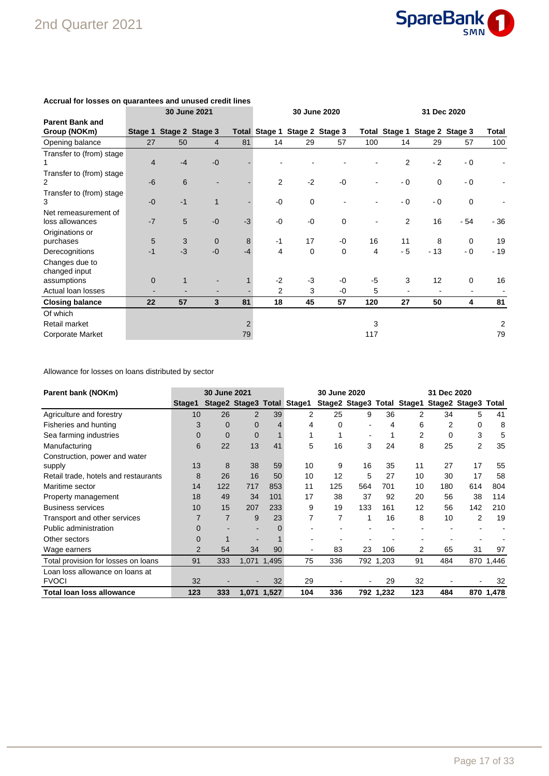

|                                        |                | 30 June 2021            |                |                |                |             | 30 June 2020<br>31 Dec 2020   |      |                               |             |             |                          |  |  |
|----------------------------------------|----------------|-------------------------|----------------|----------------|----------------|-------------|-------------------------------|------|-------------------------------|-------------|-------------|--------------------------|--|--|
| <b>Parent Bank and</b><br>Group (NOKm) |                | Stage 1 Stage 2 Stage 3 |                |                |                |             | Total Stage 1 Stage 2 Stage 3 |      | Total Stage 1 Stage 2 Stage 3 |             |             | Total                    |  |  |
| Opening balance                        | 27             | 50                      | $\overline{4}$ | 81             | 14             | 29          | 57                            | 100  | 14                            | 29          | 57          | 100                      |  |  |
| Transfer to (from) stage               |                |                         |                |                |                |             |                               |      |                               |             |             |                          |  |  |
|                                        | $\overline{4}$ | $-4$                    | $-0$           |                |                |             |                               |      | 2                             | $-2$        | $-0$        | $\overline{\phantom{0}}$ |  |  |
| Transfer to (from) stage               |                |                         |                |                |                |             |                               |      |                               |             |             |                          |  |  |
| 2                                      | $-6$           | $6\phantom{1}$          |                |                | 2              | $-2$        | $-0$                          |      | - 0                           | $\mathbf 0$ | $-0$        |                          |  |  |
| Transfer to (from) stage               |                |                         |                |                |                |             |                               |      |                               |             |             |                          |  |  |
| 3                                      | $-0$           | $-1$                    | $\mathbf 1$    |                | $-0$           | $\mathbf 0$ |                               |      | $-0$                          | $-0$        | $\mathbf 0$ |                          |  |  |
| Net remeasurement of                   |                |                         |                |                |                |             |                               |      |                               |             |             |                          |  |  |
| loss allowances                        | $-7$           | 5                       | $-0$           | $-3$           | $-0$           | $-0$        | $\mathbf 0$                   |      | 2                             | 16          | - 54        | $-36$                    |  |  |
| Originations or                        |                |                         |                |                |                |             |                               |      |                               |             |             |                          |  |  |
| purchases                              | 5              | 3                       | $\mathbf 0$    | 8              | $-1$           | 17          | $-0$                          | 16   | 11                            | 8           | $\mathbf 0$ | 19                       |  |  |
| Derecognitions                         | $-1$           | $-3$                    | $-0$           | $-4$           | 4              | 0           | 0                             | 4    | $-5$                          | $-13$       | - 0         | $-19$                    |  |  |
| Changes due to                         |                |                         |                |                |                |             |                               |      |                               |             |             |                          |  |  |
| changed input                          |                |                         |                |                |                |             |                               |      |                               |             |             |                          |  |  |
| assumptions                            | $\Omega$       | $\mathbf{1}$            |                |                | $-2$           | $-3$        | $-0$                          | $-5$ | 3                             | 12          | $\mathbf 0$ | 16                       |  |  |
| Actual loan losses                     |                |                         |                |                | $\overline{2}$ | 3           | $-0$                          | 5    |                               |             |             |                          |  |  |
| <b>Closing balance</b>                 | 22             | 57                      | 3              | 81             | 18             | 45          | 57                            | 120  | 27                            | 50          | 4           | 81                       |  |  |
| Of which                               |                |                         |                |                |                |             |                               |      |                               |             |             |                          |  |  |
| Retail market                          |                |                         |                | $\overline{2}$ |                |             |                               | 3    |                               |             |             | 2                        |  |  |
| <b>Corporate Market</b>                |                |                         |                | 79             |                |             |                               | 117  |                               |             |             | 79                       |  |  |

### **Accrual for losses on quarantees and unused credit lines**

Allowance for losses on loans distributed by sector

| Parent bank (NOKm)                   |          | <b>30 June 2021</b> |                |             | 30 June 2020               |     |     |           | 31 Dec 2020 |                                                |                |           |
|--------------------------------------|----------|---------------------|----------------|-------------|----------------------------|-----|-----|-----------|-------------|------------------------------------------------|----------------|-----------|
|                                      | Stage1   |                     |                |             | Stage2 Stage3 Total Stage1 |     |     |           |             | Stage2 Stage3 Total Stage1 Stage2 Stage3 Total |                |           |
| Agriculture and forestry             | 10       | 26                  | 2              | 39          | 2                          | 25  | 9   | 36        | 2           | 34                                             | 5              | 41        |
| Fisheries and hunting                | 3        | $\Omega$            | $\mathbf 0$    |             | 4                          | 0   |     | 4         | 6           | 2                                              | 0              | 8         |
| Sea farming industries               | $\Omega$ | $\Omega$            | $\overline{0}$ |             |                            |     |     |           | 2           | 0                                              | 3              | 5         |
| Manufacturing                        | 6        | 22                  | 13             | 41          | 5                          | 16  | 3   | 24        | 8           | 25                                             | $\overline{2}$ | 35        |
| Construction, power and water        |          |                     |                |             |                            |     |     |           |             |                                                |                |           |
| supply                               | 13       | 8                   | 38             | 59          | 10                         | 9   | 16  | 35        | 11          | 27                                             | 17             | 55        |
| Retail trade, hotels and restaurants | 8        | 26                  | 16             | 50          | 10                         | 12  | 5   | 27        | 10          | 30                                             | 17             | 58        |
| Maritime sector                      | 14       | 122                 | 717            | 853         | 11                         | 125 | 564 | 701       | 10          | 180                                            | 614            | 804       |
| Property management                  | 18       | 49                  | 34             | 101         | 17                         | 38  | 37  | 92        | 20          | 56                                             | 38             | 114       |
| <b>Business services</b>             | 10       | 15                  | 207            | 233         | 9                          | 19  | 133 | 161       | 12          | 56                                             | 142            | 210       |
| Transport and other services         |          | 7                   | 9              | 23          |                            | 7   | 1   | 16        | 8           | 10                                             | 2              | 19        |
| Public administration                | 0        |                     |                |             |                            |     |     |           |             |                                                |                |           |
| Other sectors                        |          |                     |                |             |                            |     |     |           |             |                                                |                |           |
| Wage earners                         | 2        | 54                  | 34             | 90          | $\blacksquare$             | 83  | 23  | 106       | 2           | 65                                             | 31             | 97        |
| Total provision for losses on loans  | 91       | 333                 |                | 1,071 1,495 | 75                         | 336 |     | 792 1,203 | 91          | 484                                            |                | 870 1,446 |
| Loan loss allowance on loans at      |          |                     |                |             |                            |     |     |           |             |                                                |                |           |
| <b>FVOCI</b>                         | 32       |                     |                | 32          | 29                         |     |     | 29        | 32          |                                                |                | 32        |
| <b>Total loan loss allowance</b>     | 123      | 333                 | 1.071          | 1.527       | 104                        | 336 |     | 792 1,232 | 123         | 484                                            |                | 870 1,478 |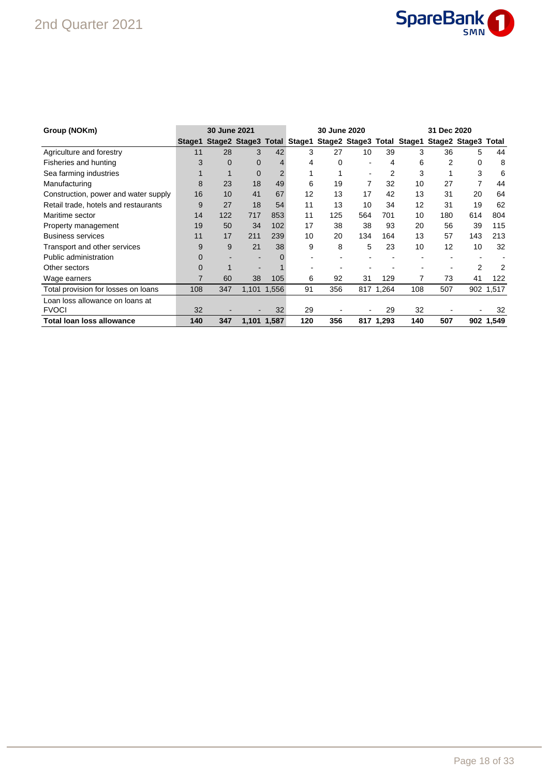## 2nd Quarter 2021



| Group (NOKm)                         |          | 30 June 2021 |              |             |     | 30 June 2020                                                              |     |           |     | 31 Dec 2020 |                |           |
|--------------------------------------|----------|--------------|--------------|-------------|-----|---------------------------------------------------------------------------|-----|-----------|-----|-------------|----------------|-----------|
|                                      | Stage1   |              |              |             |     | Stage2 Stage3 Total Stage1 Stage2 Stage3 Total Stage1 Stage2 Stage3 Total |     |           |     |             |                |           |
| Agriculture and forestry             | 11       | 28           | 3            | 42          | 3   | 27                                                                        | 10  | 39        | 3   | 36          | 5              | 44        |
| Fisheries and hunting                | 3        | $\Omega$     | $\mathbf{0}$ | 4           | 4   | 0                                                                         |     | 4         | 6   | 2           | 0              | 8         |
| Sea farming industries               |          |              | $\mathbf 0$  | 2           |     |                                                                           |     |           | 3   |             | 3              | 6         |
| Manufacturing                        | 8        | 23           | 18           | 49          | 6   | 19                                                                        | 7   | 32        | 10  | 27          | 7              | 44        |
| Construction, power and water supply | 16       | 10           | 41           | 67          | 12  | 13                                                                        | 17  | 42        | 13  | 31          | 20             | 64        |
| Retail trade, hotels and restaurants | 9        | 27           | 18           | 54          | 11  | 13                                                                        | 10  | 34        | 12  | 31          | 19             | 62        |
| Maritime sector                      | 14       | 122          | 717          | 853         | 11  | 125                                                                       | 564 | 701       | 10  | 180         | 614            | 804       |
| Property management                  | 19       | 50           | 34           | 102         | 17  | 38                                                                        | 38  | 93        | 20  | 56          | 39             | 115       |
| <b>Business services</b>             | 11       | 17           | 211          | 239         | 10  | 20                                                                        | 134 | 164       | 13  | 57          | 143            | 213       |
| Transport and other services         | 9        | 9            | 21           | 38          | 9   | 8                                                                         | 5   | 23        | 10  | 12          | 10             | 32        |
| Public administration                | $\Omega$ |              |              |             |     |                                                                           |     |           |     |             |                |           |
| Other sectors                        | $\Omega$ |              |              |             |     |                                                                           |     |           |     |             | $\overline{2}$ | 2         |
| Wage earners                         | 7        | 60           | 38           | 105         | 6   | 92                                                                        | 31  | 129       | 7   | 73          | 41             | 122       |
| Total provision for losses on loans  | 108      | 347          |              | 1,101 1,556 | 91  | 356                                                                       |     | 817 1,264 | 108 | 507         |                | 902 1,517 |
| Loan loss allowance on loans at      |          |              |              |             |     |                                                                           |     |           |     |             |                |           |
| <b>FVOCI</b>                         | 32       |              |              | 32          | 29  |                                                                           |     | 29        | 32  |             |                | 32        |
| Total loan loss allowance            | 140      | 347          |              | 1,101 1,587 | 120 | 356                                                                       |     | 817 1,293 | 140 | 507         |                | 902 1,549 |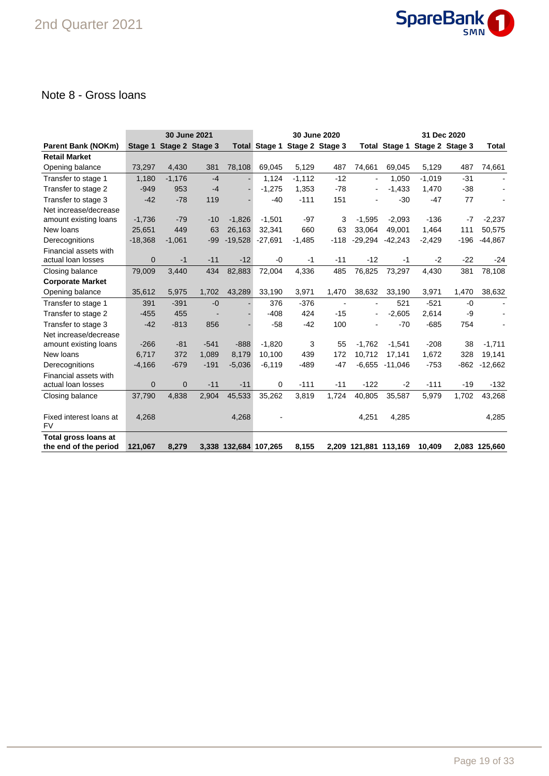

### Note 8 - Gross loans

|                             |              | 30 June 2021            |        | 30 June 2020          |                      |                 |                |                       | 31 Dec 2020   |          |                 |                |  |
|-----------------------------|--------------|-------------------------|--------|-----------------------|----------------------|-----------------|----------------|-----------------------|---------------|----------|-----------------|----------------|--|
| <b>Parent Bank (NOKm)</b>   |              | Stage 1 Stage 2 Stage 3 |        |                       | <b>Total Stage 1</b> | Stage 2 Stage 3 |                |                       | Total Stage 1 |          | Stage 2 Stage 3 | Total          |  |
| <b>Retail Market</b>        |              |                         |        |                       |                      |                 |                |                       |               |          |                 |                |  |
| Opening balance             | 73,297       | 4,430                   | 381    | 78,108                | 69,045               | 5,129           | 487            | 74,661                | 69,045        | 5,129    | 487             | 74,661         |  |
| Transfer to stage 1         | 1,180        | $-1,176$                | $-4$   |                       | 1,124                | $-1,112$        | $-12$          | $\blacksquare$        | 1.050         | $-1,019$ | $-31$           |                |  |
| Transfer to stage 2         | $-949$       | 953                     | $-4$   |                       | $-1,275$             | 1,353           | $-78$          |                       | $-1,433$      | 1,470    | $-38$           |                |  |
| Transfer to stage 3         | $-42$        | $-78$                   | 119    |                       | $-40$                | $-111$          | 151            |                       | $-30$         | $-47$    | 77              |                |  |
| Net increase/decrease       |              |                         |        |                       |                      |                 |                |                       |               |          |                 |                |  |
| amount existing loans       | $-1,736$     | $-79$                   | $-10$  | $-1,826$              | $-1,501$             | $-97$           | 3              | $-1,595$              | $-2,093$      | $-136$   | $-7$            | $-2,237$       |  |
| New loans                   | 25,651       | 449                     | 63     | 26,163                | 32,341               | 660             | 63             | 33.064                | 49.001        | 1,464    | 111             | 50,575         |  |
| Derecognitions              | $-18,368$    | $-1,061$                | $-99$  | $-19,528$             | $-27,691$            | $-1,485$        | $-118$         | -29,294               | $-42,243$     | $-2,429$ | $-196$          | $-44,867$      |  |
| Financial assets with       |              |                         |        |                       |                      |                 |                |                       |               |          |                 |                |  |
| actual loan losses          | $\mathbf{0}$ | $-1$                    | $-11$  | $-12$                 | -0                   | $-1$            | $-11$          | $-12$                 | $-1$          | $-2$     | $-22$           | -24            |  |
| Closing balance             | 79,009       | 3.440                   | 434    | 82,883                | 72,004               | 4,336           | 485            | 76.825                | 73,297        | 4,430    | 381             | 78,108         |  |
| <b>Corporate Market</b>     |              |                         |        |                       |                      |                 |                |                       |               |          |                 |                |  |
| Opening balance             | 35,612       | 5,975                   | 1,702  | 43,289                | 33,190               | 3,971           | 1,470          | 38,632                | 33,190        | 3,971    | 1,470           | 38,632         |  |
| Transfer to stage 1         | 391          | $-391$                  | $-0$   |                       | 376                  | $-376$          | $\blacksquare$ | $\blacksquare$        | 521           | $-521$   | $-0$            | $\blacksquare$ |  |
| Transfer to stage 2         | $-455$       | 455                     |        |                       | $-408$               | 424             | $-15$          |                       | $-2,605$      | 2,614    | -9              |                |  |
| Transfer to stage 3         | $-42$        | $-813$                  | 856    |                       | $-58$                | $-42$           | 100            |                       | $-70$         | $-685$   | 754             |                |  |
| Net increase/decrease       |              |                         |        |                       |                      |                 |                |                       |               |          |                 |                |  |
| amount existing loans       | $-266$       | $-81$                   | $-541$ | $-888$                | $-1,820$             | 3               | 55             | $-1.762$              | $-1,541$      | $-208$   | 38              | $-1,711$       |  |
| New loans                   | 6.717        | 372                     | 1,089  | 8.179                 | 10,100               | 439             | 172            | 10.712                | 17.141        | 1,672    | 328             | 19,141         |  |
| Derecognitions              | $-4,166$     | $-679$                  | $-191$ | $-5,036$              | $-6,119$             | $-489$          | $-47$          | $-6,655$              | $-11,046$     | $-753$   | $-862$          | $-12,662$      |  |
| Financial assets with       |              |                         |        |                       |                      |                 |                |                       |               |          |                 |                |  |
| actual loan losses          | $\mathbf{0}$ | $\mathbf{0}$            | $-11$  | $-11$                 | 0                    | $-111$          | $-11$          | $-122$                | $-2$          | $-111$   | $-19$           | $-132$         |  |
| Closing balance             | 37,790       | 4,838                   | 2,904  | 45,533                | 35,262               | 3,819           | 1,724          | 40,805                | 35,587        | 5,979    | 1,702           | 43,268         |  |
|                             |              |                         |        |                       |                      |                 |                |                       |               |          |                 |                |  |
| Fixed interest loans at     | 4,268        |                         |        | 4,268                 |                      |                 |                | 4,251                 | 4,285         |          |                 | 4,285          |  |
| <b>FV</b>                   |              |                         |        |                       |                      |                 |                |                       |               |          |                 |                |  |
| <b>Total gross loans at</b> |              |                         |        |                       |                      |                 |                |                       |               |          |                 |                |  |
| the end of the period       | 121,067      | 8,279                   |        | 3,338 132,684 107,265 |                      | 8,155           |                | 2,209 121,881 113,169 |               | 10.409   |                 | 2,083 125,660  |  |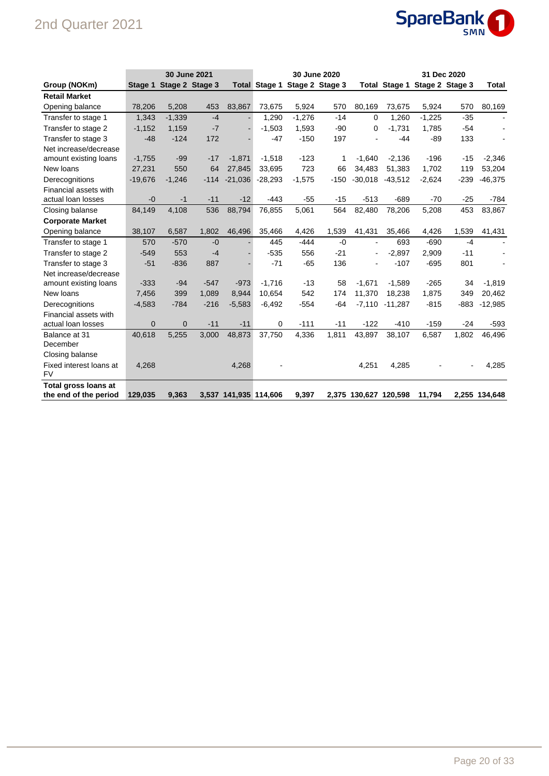## 2nd Quarter 2021



|                         |              | 30 June 2021            |        |                       |           | 30 June 2020                  |        |           | 31 Dec 2020           |                               |        |               |
|-------------------------|--------------|-------------------------|--------|-----------------------|-----------|-------------------------------|--------|-----------|-----------------------|-------------------------------|--------|---------------|
| Group (NOKm)            |              | Stage 1 Stage 2 Stage 3 |        |                       |           | Total Stage 1 Stage 2 Stage 3 |        |           |                       | Total Stage 1 Stage 2 Stage 3 |        | Total         |
| <b>Retail Market</b>    |              |                         |        |                       |           |                               |        |           |                       |                               |        |               |
| Opening balance         | 78,206       | 5,208                   | 453    | 83,867                | 73,675    | 5,924                         | 570    | 80,169    | 73,675                | 5,924                         | 570    | 80,169        |
| Transfer to stage 1     | 1,343        | $-1,339$                | $-4$   |                       | 1,290     | $-1,276$                      | $-14$  | $\Omega$  | 1,260                 | $-1,225$                      | $-35$  | $\sim$        |
| Transfer to stage 2     | $-1,152$     | 1,159                   | $-7$   |                       | $-1,503$  | 1,593                         | $-90$  | 0         | $-1,731$              | 1,785                         | $-54$  |               |
| Transfer to stage 3     | $-48$        | $-124$                  | 172    |                       | $-47$     | $-150$                        | 197    |           | $-44$                 | $-89$                         | 133    |               |
| Net increase/decrease   |              |                         |        |                       |           |                               |        |           |                       |                               |        |               |
| amount existing loans   | $-1,755$     | $-99$                   | $-17$  | $-1,871$              | $-1,518$  | $-123$                        | 1      | $-1,640$  | $-2,136$              | $-196$                        | $-15$  | $-2,346$      |
| New loans               | 27,231       | 550                     | 64     | 27,845                | 33,695    | 723                           | 66     | 34,483    | 51,383                | 1,702                         | 119    | 53,204        |
| Derecognitions          | $-19,676$    | $-1,246$                | $-114$ | $-21,036$             | $-28,293$ | $-1,575$                      | $-150$ | $-30,018$ | $-43,512$             | $-2,624$                      | $-239$ | $-46,375$     |
| Financial assets with   |              |                         |        |                       |           |                               |        |           |                       |                               |        |               |
| actual loan losses      | $-0$         | $-1$                    | $-11$  | $-12$                 | $-443$    | $-55$                         | $-15$  | $-513$    | $-689$                | $-70$                         | $-25$  | $-784$        |
| Closing balanse         | 84,149       | 4,108                   | 536    | 88,794                | 76,855    | 5,061                         | 564    | 82,480    | 78,206                | 5,208                         | 453    | 83,867        |
| <b>Corporate Market</b> |              |                         |        |                       |           |                               |        |           |                       |                               |        |               |
| Opening balance         | 38,107       | 6,587                   | 1,802  | 46.496                | 35,466    | 4,426                         | 1,539  | 41,431    | 35,466                | 4,426                         | 1,539  | 41,431        |
| Transfer to stage 1     | 570          | $-570$                  | $-0$   |                       | 445       | $-444$                        | $-0$   |           | 693                   | $-690$                        | $-4$   |               |
| Transfer to stage 2     | $-549$       | 553                     | $-4$   |                       | $-535$    | 556                           | $-21$  |           | $-2,897$              | 2,909                         | $-11$  |               |
| Transfer to stage 3     | $-51$        | $-836$                  | 887    |                       | $-71$     | $-65$                         | 136    |           | $-107$                | $-695$                        | 801    |               |
| Net increase/decrease   |              |                         |        |                       |           |                               |        |           |                       |                               |        |               |
| amount existing loans   | $-333$       | $-94$                   | $-547$ | $-973$                | $-1.716$  | $-13$                         | 58     | $-1.671$  | $-1,589$              | $-265$                        | 34     | $-1,819$      |
| New loans               | 7,456        | 399                     | 1,089  | 8,944                 | 10,654    | 542                           | 174    | 11,370    | 18,238                | 1,875                         | 349    | 20,462        |
| Derecognitions          | $-4,583$     | $-784$                  | $-216$ | $-5,583$              | $-6,492$  | $-554$                        | $-64$  | $-7,110$  | $-11,287$             | $-815$                        | $-883$ | $-12,985$     |
| Financial assets with   |              |                         |        |                       |           |                               |        |           |                       |                               |        |               |
| actual loan losses      | $\mathbf{0}$ | $\mathbf{0}$            | $-11$  | $-11$                 | 0         | $-111$                        | $-11$  | $-122$    | $-410$                | $-159$                        | $-24$  | $-593$        |
| Balance at 31           | 40,618       | 5,255                   | 3,000  | 48,873                | 37,750    | 4,336                         | 1,811  | 43,897    | 38,107                | 6,587                         | 1,802  | 46,496        |
| December                |              |                         |        |                       |           |                               |        |           |                       |                               |        |               |
| Closing balanse         |              |                         |        |                       |           |                               |        |           |                       |                               |        |               |
| Fixed interest loans at | 4,268        |                         |        | 4,268                 |           |                               |        | 4,251     | 4,285                 |                               |        | 4,285         |
| <b>FV</b>               |              |                         |        |                       |           |                               |        |           |                       |                               |        |               |
| Total gross loans at    |              |                         |        |                       |           |                               |        |           |                       |                               |        |               |
| the end of the period   | 129,035      | 9,363                   |        | 3,537 141,935 114,606 |           | 9,397                         |        |           | 2,375 130,627 120,598 | 11,794                        |        | 2,255 134,648 |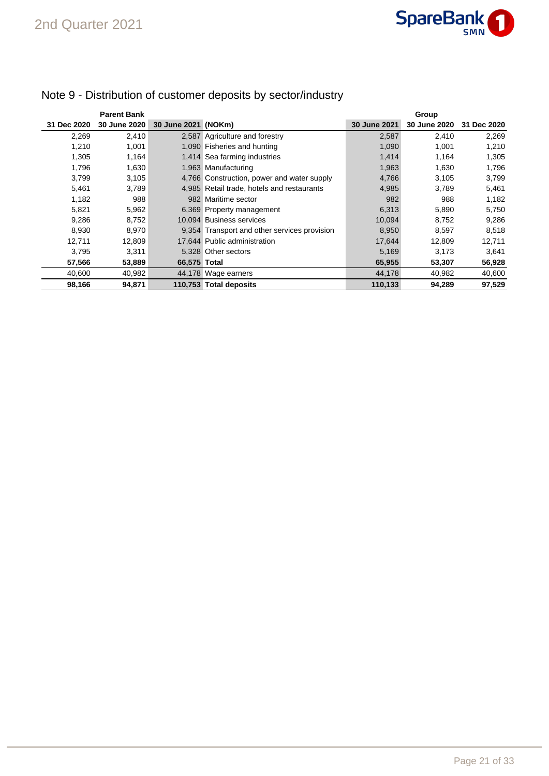

|             | <b>Parent Bank</b> |                     |                                              |              | Group        |             |
|-------------|--------------------|---------------------|----------------------------------------------|--------------|--------------|-------------|
| 31 Dec 2020 | 30 June 2020       | 30 June 2021 (NOKm) |                                              | 30 June 2021 | 30 June 2020 | 31 Dec 2020 |
| 2,269       | 2,410              |                     | 2,587 Agriculture and forestry               | 2,587        | 2,410        | 2,269       |
| 1.210       | 1,001              |                     | 1,090 Fisheries and hunting                  | 1,090        | 1,001        | 1,210       |
| 1,305       | 1,164              |                     | 1,414 Sea farming industries                 | 1,414        | 1,164        | 1,305       |
| 1,796       | 1,630              |                     | 1,963 Manufacturing                          | 1,963        | 1,630        | 1,796       |
| 3,799       | 3,105              |                     | 4,766 Construction, power and water supply   | 4,766        | 3,105        | 3,799       |
| 5,461       | 3,789              |                     | 4,985 Retail trade, hotels and restaurants   | 4,985        | 3.789        | 5,461       |
| 1,182       | 988                |                     | 982 Maritime sector                          | 982          | 988          | 1,182       |
| 5,821       | 5,962              |                     | 6,369 Property management                    | 6,313        | 5,890        | 5,750       |
| 9,286       | 8,752              |                     | 10.094 Business services                     | 10,094       | 8.752        | 9,286       |
| 8.930       | 8,970              |                     | 9,354 Transport and other services provision | 8,950        | 8.597        | 8,518       |
| 12,711      | 12,809             |                     | 17,644 Public administration                 | 17,644       | 12,809       | 12,711      |
| 3,795       | 3,311              |                     | 5.328 Other sectors                          | 5,169        | 3,173        | 3,641       |
| 57,566      | 53,889             | 66,575 Total        |                                              | 65,955       | 53,307       | 56,928      |
| 40,600      | 40,982             |                     | 44,178 Wage earners                          | 44,178       | 40,982       | 40,600      |
| 98,166      | 94,871             |                     | 110,753 Total deposits                       | 110,133      | 94,289       | 97,529      |

## Note 9 - Distribution of customer deposits by sector/industry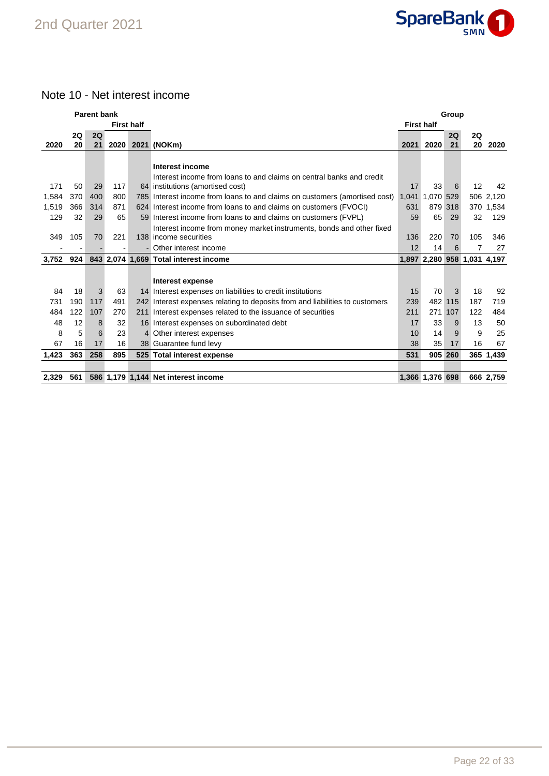

### Note 10 - Net interest income

| <b>Parent bank</b><br>Group |     |     |      |                   |                                                                              |                   |                             |     |     |           |
|-----------------------------|-----|-----|------|-------------------|------------------------------------------------------------------------------|-------------------|-----------------------------|-----|-----|-----------|
|                             |     |     |      | <b>First half</b> |                                                                              | <b>First half</b> |                             |     |     |           |
|                             | 2Q  | 2Q  |      |                   |                                                                              |                   |                             | 2Q  | 2Q  |           |
| 2020                        | 20  | 21  | 2020 |                   | 2021 (NOKm)                                                                  | 2021              | 2020                        | 21  | 20  | 2020      |
|                             |     |     |      |                   |                                                                              |                   |                             |     |     |           |
|                             |     |     |      |                   | Interest income                                                              |                   |                             |     |     |           |
|                             |     |     |      |                   | Interest income from loans to and claims on central banks and credit         |                   |                             |     | 12  |           |
| 171                         | 50  | 29  | 117  |                   | 64 institutions (amortised cost)                                             | 17                | 33                          | 6   |     | 42        |
| 1,584                       | 370 | 400 | 800  |                   | 785 Interest income from loans to and claims on customers (amortised cost)   | 1,041             | 1,070 529                   |     |     | 506 2,120 |
| 1,519                       | 366 | 314 | 871  |                   | 624 Interest income from loans to and claims on customers (FVOCI)            | 631               | 879 318                     |     |     | 370 1,534 |
| 129                         | 32  | 29  | 65   |                   | 59 Interest income from loans to and claims on customers (FVPL)              | 59                | 65                          | 29  | 32  | 129       |
|                             |     |     |      |                   | Interest income from money market instruments, bonds and other fixed         |                   |                             |     |     |           |
| 349                         | 105 | 70  | 221  |                   | 138 income securities                                                        | 136               | 220                         | 70  | 105 | 346       |
|                             | ۰   |     |      |                   | - Other interest income                                                      | 12                | 14                          | 6   | 7   | 27        |
| 3,752                       | 924 |     |      |                   | 843 2,074 1,669 Total interest income                                        |                   | 1,897 2,280 958 1,031 4,197 |     |     |           |
|                             |     |     |      |                   |                                                                              |                   |                             |     |     |           |
|                             |     |     |      |                   | Interest expense                                                             |                   |                             |     |     |           |
| 84                          | 18  | 3   | 63   |                   | 14 Interest expenses on liabilities to credit institutions                   | 15                | 70                          | 3   | 18  | 92        |
| 731                         | 190 | 117 | 491  |                   | 242 Interest expenses relating to deposits from and liabilities to customers | 239               | 482                         | 115 | 187 | 719       |
| 484                         | 122 | 107 | 270  |                   | 211 Interest expenses related to the issuance of securities                  | 211               | 271                         | 107 | 122 | 484       |
| 48                          | 12  | 8   | 32   |                   | 16 Interest expenses on subordinated debt                                    | 17                | 33                          | 9   | 13  | 50        |
| 8                           | 5   | 6   | 23   |                   | 4 Other interest expenses                                                    | 10                | 14                          | 9   | 9   | 25        |
| 67                          | 16  | 17  | 16   |                   | 38 Guarantee fund levy                                                       | 38                | 35                          | 17  | 16  | 67        |
| 1,423                       | 363 | 258 | 895  |                   | 525 Total interest expense                                                   | 531               | 905 260                     |     |     | 365 1,439 |
|                             |     |     |      |                   |                                                                              |                   |                             |     |     |           |
| 2,329                       | 561 |     |      |                   | 586 1,179 1,144 Net interest income                                          |                   | 1,366 1,376 698             |     |     | 666 2,759 |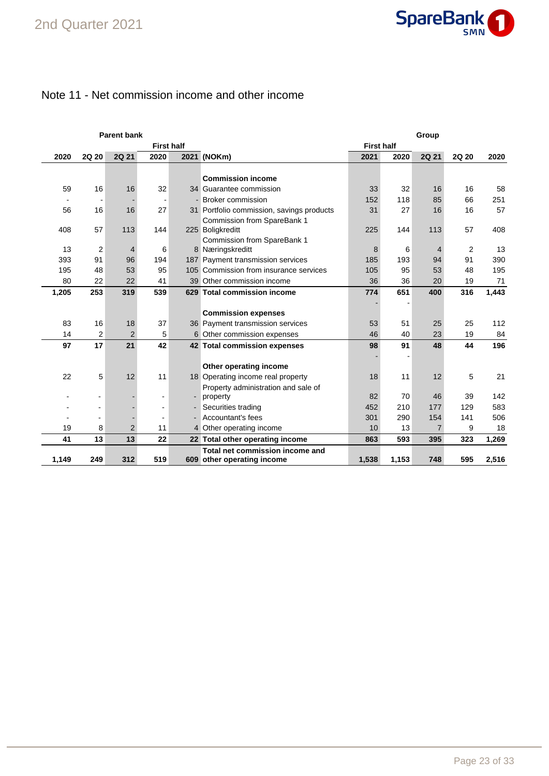

### Note 11 - Net commission income and other income

| <b>Parent bank</b><br>Group |                |                |                          |  |                                           |                   |       |                |                |       |
|-----------------------------|----------------|----------------|--------------------------|--|-------------------------------------------|-------------------|-------|----------------|----------------|-------|
|                             |                |                | <b>First half</b>        |  |                                           | <b>First half</b> |       |                |                |       |
| 2020                        | <b>2Q 20</b>   | <b>2Q 21</b>   | 2020                     |  | 2021 (NOKm)                               | 2021              | 2020  | 2Q 21          | 2Q 20          | 2020  |
|                             |                |                |                          |  |                                           |                   |       |                |                |       |
|                             |                |                |                          |  | <b>Commission income</b>                  |                   |       |                |                |       |
| 59                          | 16             | 16             | 32                       |  | 34 Guarantee commission                   | 33                | 32    | 16             | 16             | 58    |
|                             |                |                |                          |  | - Broker commission                       | 152               | 118   | 85             | 66             | 251   |
| 56                          | 16             | 16             | 27                       |  | 31 Portfolio commission, savings products | 31                | 27    | 16             | 16             | 57    |
|                             |                |                |                          |  | Commission from SpareBank 1               |                   |       |                |                |       |
| 408                         | 57             | 113            | 144                      |  | 225 Boligkreditt                          | 225               | 144   | 113            | 57             | 408   |
|                             |                |                |                          |  | Commission from SpareBank 1               |                   |       |                |                |       |
| 13                          | $\overline{2}$ | $\overline{4}$ | 6                        |  | 8 Næringskreditt                          | 8                 | 6     | 4              | $\overline{2}$ | 13    |
| 393                         | 91             | 96             | 194                      |  | 187 Payment transmission services         | 185               | 193   | 94             | 91             | 390   |
| 195                         | 48             | 53             | 95                       |  | 105 Commission from insurance services    | 105               | 95    | 53             | 48             | 195   |
| 80                          | 22             | 22             | 41                       |  | 39 Other commission income                | 36                | 36    | 20             | 19             | 71    |
| 1,205                       | 253            | 319            | 539                      |  | 629 Total commission income               | 774               | 651   | 400            | 316            | 1,443 |
|                             |                |                |                          |  |                                           |                   |       |                |                |       |
|                             |                |                |                          |  | <b>Commission expenses</b>                |                   |       |                |                |       |
| 83                          | 16             | 18             | 37                       |  | 36 Payment transmission services          | 53                | 51    | 25             | 25             | 112   |
| 14                          | $\overline{2}$ | $\overline{2}$ | 5                        |  | 6 Other commission expenses               | 46                | 40    | 23             | 19             | 84    |
| 97                          | 17             | 21             | 42                       |  | 42 Total commission expenses              | 98                | 91    | 48             | 44             | 196   |
|                             |                |                |                          |  |                                           |                   |       |                |                |       |
|                             |                |                |                          |  | Other operating income                    |                   |       |                |                |       |
| 22                          | 5              | 12             | 11                       |  | 18 Operating income real property         | 18                | 11    | 12             | 5              | 21    |
|                             |                |                |                          |  | Property administration and sale of       |                   |       |                |                |       |
|                             |                |                | $\overline{\phantom{a}}$ |  | property                                  | 82                | 70    | 46             | 39             | 142   |
|                             |                |                | ۰                        |  | Securities trading                        | 452               | 210   | 177            | 129            | 583   |
|                             |                |                |                          |  | Accountant's fees                         | 301               | 290   | 154            | 141            | 506   |
| 19                          | 8              | $\overline{2}$ | 11                       |  | 4 Other operating income                  | 10                | 13    | $\overline{7}$ | 9              | 18    |
| 41                          | 13             | 13             | 22                       |  | 22 Total other operating income           | 863               | 593   | 395            | 323            | 1,269 |
|                             |                |                |                          |  | Total net commission income and           |                   |       |                |                |       |
| 1,149                       | 249            | 312            | 519                      |  | 609 other operating income                | 1,538             | 1,153 | 748            | 595            | 2,516 |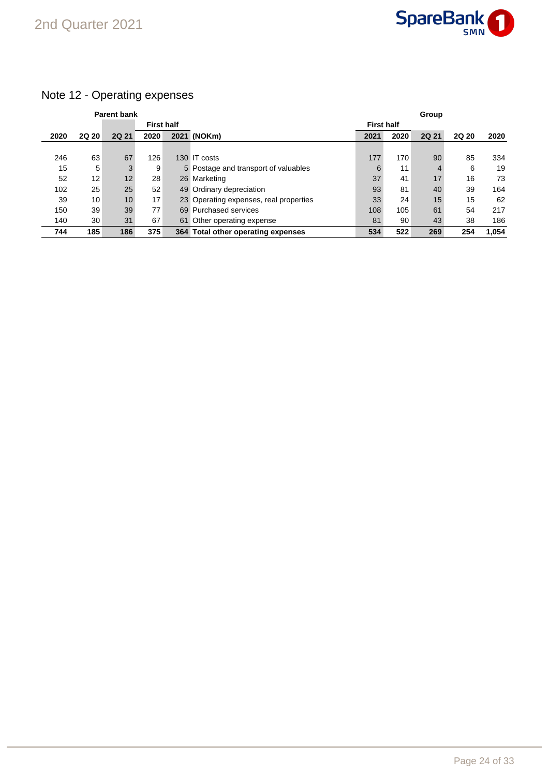

## Note 12 - Operating expenses

|      |                 | <b>Parent bank</b> |                   |  |                                        |                   |      | Group |              |       |
|------|-----------------|--------------------|-------------------|--|----------------------------------------|-------------------|------|-------|--------------|-------|
|      |                 |                    | <b>First half</b> |  |                                        | <b>First half</b> |      |       |              |       |
| 2020 | <b>2Q 20</b>    | <b>2Q 21</b>       | 2020              |  | 2021 (NOKm)                            | 2021              | 2020 | 2Q 21 | <b>2Q 20</b> | 2020  |
|      |                 |                    |                   |  |                                        |                   |      |       |              |       |
| 246  | 63              | 67                 | 126               |  | 130 IT costs                           | 177               | 170  | 90    | 85           | 334   |
| 15   | 5               | 3                  | 9                 |  | 5 Postage and transport of valuables   | 6                 | 11   | 4     | 6            | 19    |
| 52   | 12 <sub>1</sub> | 12                 | 28                |  | 26 Marketing                           | 37                | 41   | 17    | 16           | 73    |
| 102  | 25              | 25                 | 52                |  | 49 Ordinary depreciation               | 93                | 81   | 40    | 39           | 164   |
| 39   | 10              | 10 <sup>1</sup>    | 17                |  | 23 Operating expenses, real properties | 33                | 24   | 15    | 15           | 62    |
| 150  | 39              | 39                 | 77                |  | 69 Purchased services                  | 108               | 105  | 61    | 54           | 217   |
| 140  | 30              | 31                 | 67                |  | 61 Other operating expense             | 81                | 90   | 43    | 38           | 186   |
| 744  | 185             | 186                | 375               |  | 364 Total other operating expenses     | 534               | 522  | 269   | 254          | 1.054 |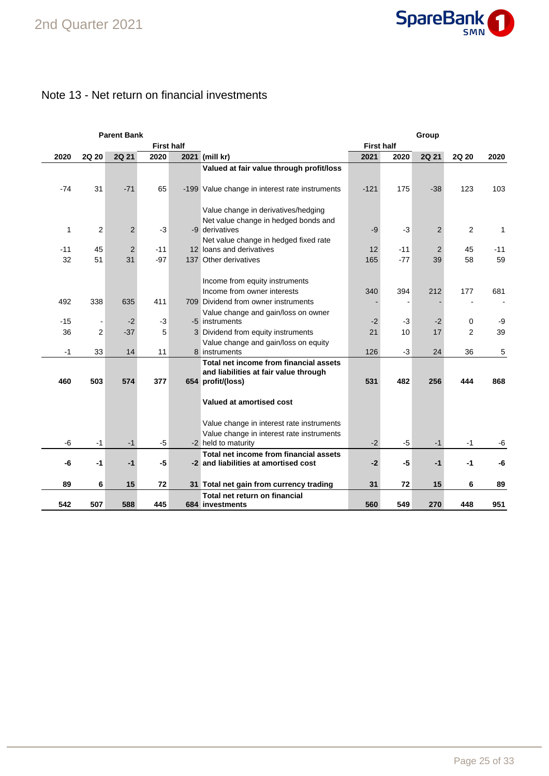

## Note 13 - Net return on financial investments

|       |                          | <b>Parent Bank</b> |       |                   |                                                                                |                   |       | Group          |                |       |
|-------|--------------------------|--------------------|-------|-------------------|--------------------------------------------------------------------------------|-------------------|-------|----------------|----------------|-------|
|       |                          |                    |       | <b>First half</b> |                                                                                | <b>First half</b> |       |                |                |       |
| 2020  | 2Q 20                    | 2Q 21              | 2020  |                   | 2021 (mill kr)                                                                 | 2021              | 2020  | 2Q 21          | 2Q 20          | 2020  |
|       |                          |                    |       |                   | Valued at fair value through profit/loss                                       |                   |       |                |                |       |
|       |                          |                    |       |                   |                                                                                |                   |       |                |                |       |
| -74   | 31                       | $-71$              | 65    |                   | -199 Value change in interest rate instruments                                 | $-121$            | 175   | $-38$          | 123            | 103   |
|       |                          |                    |       |                   |                                                                                |                   |       |                |                |       |
|       |                          |                    |       |                   | Value change in derivatives/hedging                                            |                   |       |                |                |       |
|       |                          |                    |       |                   | Net value change in hedged bonds and                                           |                   |       |                |                |       |
|       | 2<br>1                   | $\overline{2}$     | $-3$  |                   | -9 derivatives                                                                 | $-9$              | $-3$  | $\overline{2}$ | 2              | 1     |
|       |                          |                    |       |                   | Net value change in hedged fixed rate                                          |                   |       |                |                |       |
| $-11$ | 45                       | $\overline{2}$     | $-11$ |                   | 12 loans and derivatives                                                       | 12                | $-11$ | $\overline{2}$ | 45             | $-11$ |
| 32    | 51                       | 31                 | $-97$ |                   | 137 Other derivatives                                                          | 165               | $-77$ | 39             | 58             | 59    |
|       |                          |                    |       |                   |                                                                                |                   |       |                |                |       |
|       |                          |                    |       |                   | Income from equity instruments                                                 |                   |       |                |                |       |
|       |                          |                    |       |                   | Income from owner interests                                                    | 340               | 394   | 212            | 177            | 681   |
| 492   | 338                      | 635                | 411   |                   | 709 Dividend from owner instruments                                            |                   |       |                |                |       |
|       |                          |                    |       |                   | Value change and gain/loss on owner                                            |                   |       |                |                |       |
| $-15$ | $\overline{\phantom{a}}$ | $-2$               | $-3$  |                   | -5 instruments                                                                 | $-2$              | $-3$  | $-2$           | 0              | -9    |
| 36    | $\overline{2}$           | $-37$              | 5     |                   | 3 Dividend from equity instruments                                             | 21                | 10    | 17             | $\overline{2}$ | 39    |
|       |                          |                    |       |                   | Value change and gain/loss on equity                                           |                   |       |                |                |       |
| $-1$  | 33                       | 14                 | 11    |                   | 8 instruments                                                                  | 126               | $-3$  | 24             | 36             | 5     |
|       |                          |                    |       |                   | Total net income from financial assets                                         |                   |       |                |                |       |
|       |                          |                    |       |                   | and liabilities at fair value through                                          |                   |       |                |                |       |
| 460   | 503                      | 574                | 377   |                   | 654 profit/(loss)                                                              | 531               | 482   | 256            | 444            | 868   |
|       |                          |                    |       |                   |                                                                                |                   |       |                |                |       |
|       |                          |                    |       |                   | Valued at amortised cost                                                       |                   |       |                |                |       |
|       |                          |                    |       |                   |                                                                                |                   |       |                |                |       |
|       |                          |                    |       |                   | Value change in interest rate instruments                                      |                   |       |                |                |       |
|       |                          |                    |       |                   | Value change in interest rate instruments                                      |                   | $-5$  |                |                |       |
| -6    | -1                       | $-1$               | $-5$  |                   | -2 held to maturity                                                            | $-2$              |       | -1             | -1             | -6    |
| -6    | $-1$                     | $-1$               | -5    |                   | Total net income from financial assets<br>-2 and liabilities at amortised cost | $-2$              | -5    | $-1$           | -1             | -6    |
|       |                          |                    |       |                   |                                                                                |                   |       |                |                |       |
| 89    | 6                        | 15                 | 72    |                   |                                                                                | 31                | 72    | 15             | 6              | 89    |
|       |                          |                    |       |                   | 31 Total net gain from currency trading<br>Total net return on financial       |                   |       |                |                |       |
| 542   | 507                      | 588                | 445   |                   | 684 investments                                                                | 560               | 549   | 270            | 448            | 951   |
|       |                          |                    |       |                   |                                                                                |                   |       |                |                |       |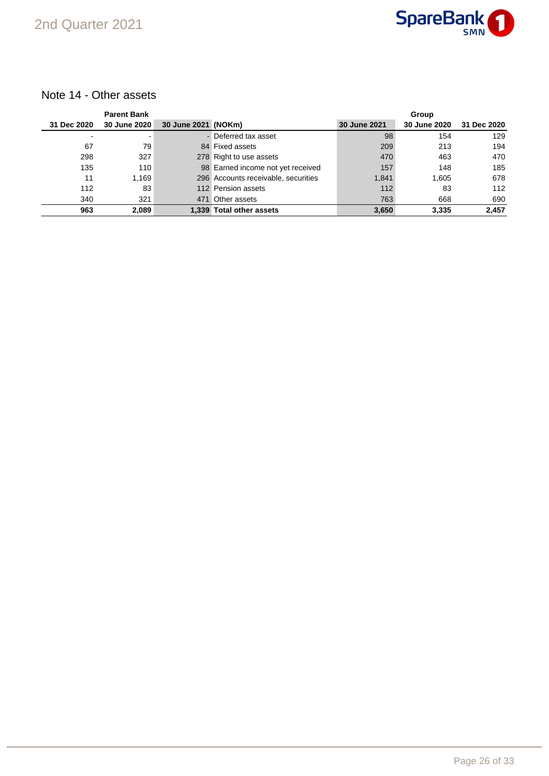

### Note 14 - Other assets

|             | <b>Parent Bank</b>  |                     |                                     |              | Group        |             |
|-------------|---------------------|---------------------|-------------------------------------|--------------|--------------|-------------|
| 31 Dec 2020 | <b>30 June 2020</b> | 30 June 2021 (NOKm) |                                     | 30 June 2021 | 30 June 2020 | 31 Dec 2020 |
|             |                     |                     | - Deferred tax asset                | 98           | 154          | 129         |
| 67          | 79                  |                     | 84 Fixed assets                     | 209          | 213          | 194         |
| 298         | 327                 |                     | 278 Right to use assets             | 470          | 463          | 470         |
| 135         | 110                 |                     | 98 Earned income not yet received   | 157          | 148          | 185         |
| 11          | 1.169               |                     | 296 Accounts receivable, securities | 1,841        | 1.605        | 678         |
| 112         | 83                  |                     | 112 Pension assets                  | 112          | 83           | 112         |
| 340         | 321                 |                     | 471 Other assets                    | 763          | 668          | 690         |
| 963         | 2,089               |                     | 1.339 Total other assets            | 3,650        | 3,335        | 2,457       |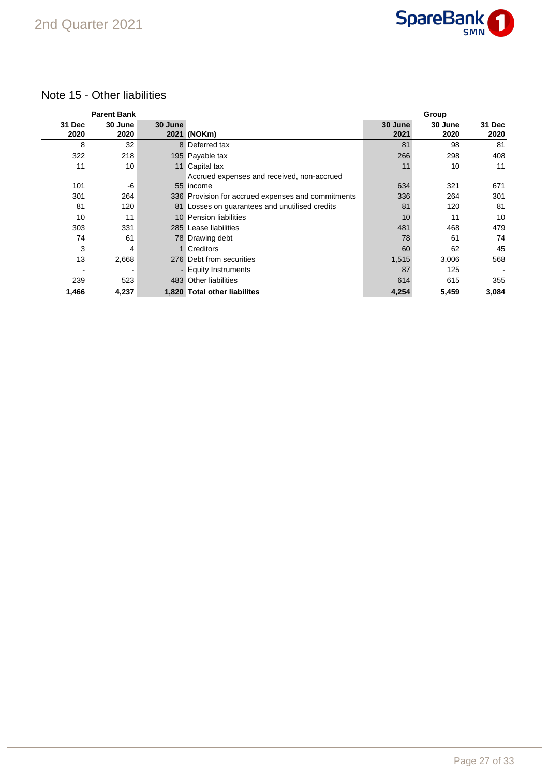

### Note 15 - Other liabilities

|                | <b>Parent Bank</b> |         |                                                    |                 | Group           |                |
|----------------|--------------------|---------|----------------------------------------------------|-----------------|-----------------|----------------|
| 31 Dec<br>2020 | 30 June<br>2020    | 30 June | 2021 (NOKm)                                        | 30 June<br>2021 | 30 June<br>2020 | 31 Dec<br>2020 |
| 8              | 32                 |         | 8 Deferred tax                                     | 81              | 98              | 81             |
| 322            | 218                |         | 195 Payable tax                                    | 266             | 298             | 408            |
| 11             | 10                 |         | 11 Capital tax                                     | 11              | 10              | 11             |
|                |                    |         | Accrued expenses and received, non-accrued         |                 |                 |                |
| 101            | -6                 |         | 55 income                                          | 634             | 321             | 671            |
| 301            | 264                |         | 336 Provision for accrued expenses and commitments | 336             | 264             | 301            |
| 81             | 120                |         | 81 Losses on guarantees and unutilised credits     | 81              | 120             | 81             |
| 10             | 11                 |         | 10 Pension liabilities                             | 10              | 11              | 10             |
| 303            | 331                |         | 285 Lease liabilities                              | 481             | 468             | 479            |
| 74             | 61                 |         | 78 Drawing debt                                    | 78              | 61              | 74             |
| 3              | 4                  |         | 1 Creditors                                        | 60              | 62              | 45             |
| 13             | 2,668              |         | 276 Debt from securities                           | 1,515           | 3,006           | 568            |
|                |                    |         | - Equity Instruments                               | 87              | 125             |                |
| 239            | 523                |         | 483 Other liabilities                              | 614             | 615             | 355            |
| 1,466          | 4,237              |         | 1.820 Total other liabilites                       | 4,254           | 5,459           | 3,084          |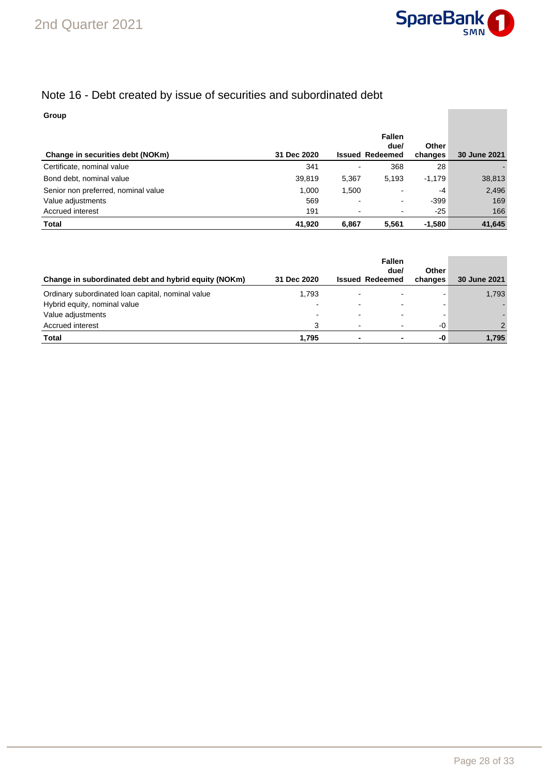

## Note 16 - Debt created by issue of securities and subordinated debt

### **Group**

| Change in securities debt (NOKm)    | 31 Dec 2020 |       | <b>Fallen</b><br>due/<br><b>Issued Redeemed</b> | <b>Other</b><br>changes | 30 June 2021 |
|-------------------------------------|-------------|-------|-------------------------------------------------|-------------------------|--------------|
| Certificate, nominal value          | 341         |       | 368                                             | 28                      |              |
| Bond debt, nominal value            | 39,819      | 5,367 | 5.193                                           | $-1,179$                | 38,813       |
| Senior non preferred, nominal value | 1,000       | 1,500 | ۰.                                              | -4                      | 2,496        |
| Value adjustments                   | 569         |       | $\overline{\phantom{0}}$                        | -399                    | 169          |
| Accrued interest                    | 191         |       | ۰.                                              | $-25$                   | 166          |
| <b>Total</b>                        | 41,920      | 6.867 | 5.561                                           | $-1.580$                | 41,645       |

| Change in subordinated debt and hybrid equity (NOKm) | 31 Dec 2020              | <b>Issued Redeemed</b>   | <b>Fallen</b><br>due/ | Other<br>changes | 30 June 2021  |
|------------------------------------------------------|--------------------------|--------------------------|-----------------------|------------------|---------------|
| Ordinary subordinated loan capital, nominal value    | 1,793                    |                          |                       |                  | 1,793         |
| Hybrid equity, nominal value                         | $\overline{\phantom{a}}$ | $\overline{\phantom{0}}$ | -                     |                  |               |
| Value adjustments                                    |                          |                          |                       |                  |               |
| Accrued interest                                     | 3                        | $\overline{\phantom{0}}$ | ۰                     | $-0$             | $\mathcal{P}$ |
| <b>Total</b>                                         | 1.795                    |                          |                       | -0               | 1,795         |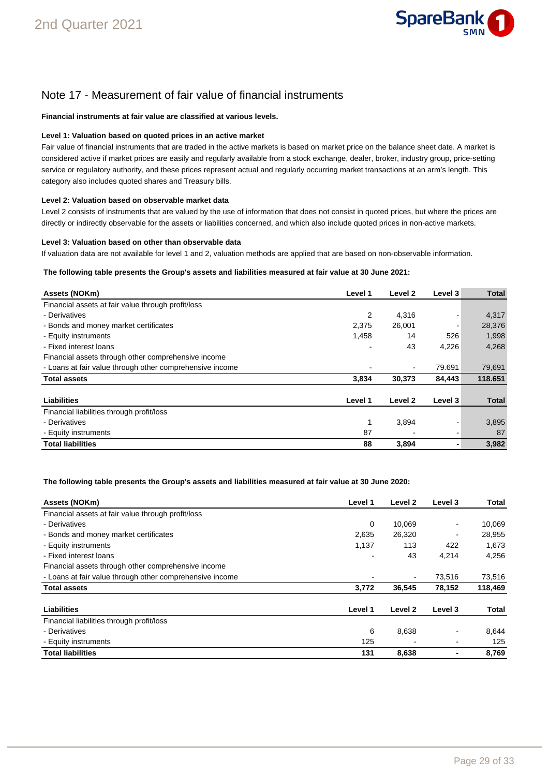

## Note 17 - Measurement of fair value of financial instruments

### **Financial instruments at fair value are classified at various levels.**

### **Level 1: Valuation based on quoted prices in an active market**

Fair value of financial instruments that are traded in the active markets is based on market price on the balance sheet date. A market is considered active if market prices are easily and regularly available from a stock exchange, dealer, broker, industry group, price-setting service or regulatory authority, and these prices represent actual and regularly occurring market transactions at an arm's length. This category also includes quoted shares and Treasury bills.

#### **Level 2: Valuation based on observable market data**

Level 2 consists of instruments that are valued by the use of information that does not consist in quoted prices, but where the prices are directly or indirectly observable for the assets or liabilities concerned, and which also include quoted prices in non-active markets.

#### **Level 3: Valuation based on other than observable data**

If valuation data are not available for level 1 and 2, valuation methods are applied that are based on non-observable information.

### **The following table presents the Group's assets and liabilities measured at fair value at 30 June 2021:**

| Assets (NOKm)                                            | Level 1 | Level 2            | Level 3        | <b>Total</b> |
|----------------------------------------------------------|---------|--------------------|----------------|--------------|
| Financial assets at fair value through profit/loss       |         |                    |                |              |
| - Derivatives                                            | 2       | 4,316              | $\blacksquare$ | 4,317        |
| - Bonds and money market certificates                    | 2,375   | 26,001             |                | 28,376       |
| - Equity instruments                                     | 1,458   | 14                 | 526            | 1,998        |
| - Fixed interest loans                                   |         | 43                 | 4,226          | 4,268        |
| Financial assets through other comprehensive income      |         |                    |                |              |
| - Loans at fair value through other comprehensive income |         | $\blacksquare$     | 79.691         | 79,691       |
| <b>Total assets</b>                                      | 3,834   | 30,373             | 84,443         | 118.651      |
| Liabilities                                              | Level 1 | Level <sub>2</sub> | Level 3        | <b>Total</b> |
| Financial liabilities through profit/loss                |         |                    |                |              |
| - Derivatives                                            | 1       | 3,894              |                | 3,895        |
| - Equity instruments                                     | 87      |                    |                | 87           |
| <b>Total liabilities</b>                                 | 88      | 3,894              |                | 3,982        |

### **The following table presents the Group's assets and liabilities measured at fair value at 30 June 2020:**

| Assets (NOKm)                                            | Level 1 | Level 2 | Level 3 | Total   |
|----------------------------------------------------------|---------|---------|---------|---------|
| Financial assets at fair value through profit/loss       |         |         |         |         |
| - Derivatives                                            | 0       | 10.069  |         | 10,069  |
| - Bonds and money market certificates                    | 2,635   | 26,320  |         | 28,955  |
| - Equity instruments                                     | 1,137   | 113     | 422     | 1,673   |
| - Fixed interest loans                                   |         | 43      | 4,214   | 4.256   |
| Financial assets through other comprehensive income      |         |         |         |         |
| - Loans at fair value through other comprehensive income |         |         | 73,516  | 73,516  |
| <b>Total assets</b>                                      | 3,772   | 36,545  | 78,152  | 118,469 |
| Liabilities                                              | Level 1 | Level 2 | Level 3 | Total   |
| Financial liabilities through profit/loss                |         |         |         |         |
| - Derivatives                                            | 6       | 8,638   |         | 8,644   |
| - Equity instruments                                     | 125     |         |         | 125     |
| <b>Total liabilities</b>                                 | 131     | 8,638   |         | 8.769   |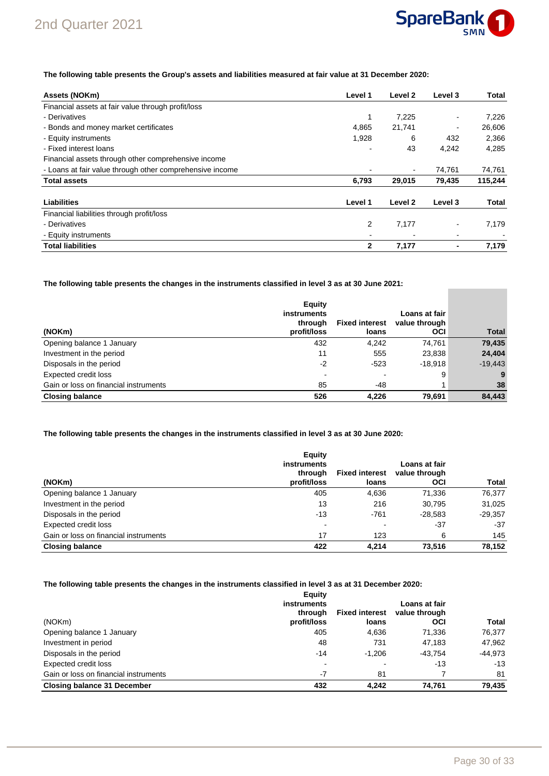

**COL** 

### **The following table presents the Group's assets and liabilities measured at fair value at 31 December 2020:**

| Assets (NOKm)                                            | Level 1      | Level 2 | Level 3 | Total   |
|----------------------------------------------------------|--------------|---------|---------|---------|
| Financial assets at fair value through profit/loss       |              |         |         |         |
| - Derivatives                                            | 1            | 7,225   |         | 7,226   |
| - Bonds and money market certificates                    | 4,865        | 21,741  | -       | 26,606  |
| - Equity instruments                                     | 1,928        | 6       | 432     | 2,366   |
| - Fixed interest loans                                   |              | 43      | 4,242   | 4,285   |
| Financial assets through other comprehensive income      |              |         |         |         |
| - Loans at fair value through other comprehensive income |              | ٠       | 74,761  | 74,761  |
| <b>Total assets</b>                                      | 6,793        | 29,015  | 79,435  | 115,244 |
| Liabilities                                              | Level 1      | Level 2 | Level 3 | Total   |
| Financial liabilities through profit/loss                |              |         |         |         |
| - Derivatives                                            | 2            | 7,177   |         | 7,179   |
| - Equity instruments                                     |              |         |         |         |
| <b>Total liabilities</b>                                 | $\mathbf{2}$ | 7,177   |         | 7,179   |

**The following table presents the changes in the instruments classified in level 3 as at 30 June 2021:**

| (NOKm)                                | Equity<br>instruments<br>through<br>profit/loss | <b>Fixed interest</b><br>loans | Loans at fair<br>value through<br><b>OCI</b> | <b>Total</b> |
|---------------------------------------|-------------------------------------------------|--------------------------------|----------------------------------------------|--------------|
| Opening balance 1 January             | 432                                             | 4.242                          | 74,761                                       | 79,435       |
| Investment in the period              | 11                                              | 555                            | 23,838                                       | 24,404       |
| Disposals in the period               | $-2$                                            | $-523$                         | $-18.918$                                    | $-19,443$    |
| <b>Expected credit loss</b>           | -                                               |                                | 9                                            | 9            |
| Gain or loss on financial instruments | 85                                              | -48                            |                                              | 38           |
| <b>Closing balance</b>                | 526                                             | 4,226                          | 79.691                                       | 84.443       |

### **The following table presents the changes in the instruments classified in level 3 as at 30 June 2020:**

|                                       | Equity                        |                       |                                |           |
|---------------------------------------|-------------------------------|-----------------------|--------------------------------|-----------|
|                                       | <b>instruments</b><br>through | <b>Fixed interest</b> | Loans at fair<br>value through |           |
| (NOKm)                                | profit/loss                   | loans                 | OCI                            | Total     |
| Opening balance 1 January             | 405                           | 4,636                 | 71.336                         | 76,377    |
| Investment in the period              | 13                            | 216                   | 30,795                         | 31,025    |
| Disposals in the period               | $-13$                         | $-761$                | $-28.583$                      | $-29,357$ |
| Expected credit loss                  | $\overline{\phantom{0}}$      |                       | $-37$                          | $-37$     |
| Gain or loss on financial instruments | 17                            | 123                   | 6                              | 145       |
| <b>Closing balance</b>                | 422                           | 4.214                 | 73.516                         | 78.152    |

### **The following table presents the changes in the instruments classified in level 3 as at 31 December 2020:**

| (NOKm)                                | Equity<br>instruments<br>through<br>profit/loss | <b>Fixed interest</b><br>loans | Loans at fair<br>value through<br>OCI | Total   |
|---------------------------------------|-------------------------------------------------|--------------------------------|---------------------------------------|---------|
| Opening balance 1 January             | 405                                             | 4.636                          | 71,336                                | 76,377  |
| Investment in period                  | 48                                              | 731                            | 47.183                                | 47.962  |
| Disposals in the period               | $-14$                                           | $-1.206$                       | $-43.754$                             | -44.973 |
| Expected credit loss                  | $\overline{\phantom{0}}$                        |                                | $-13$                                 | $-13$   |
| Gain or loss on financial instruments | $-7$                                            | 81                             |                                       | 81      |
| <b>Closing balance 31 December</b>    | 432                                             | 4.242                          | 74.761                                | 79.435  |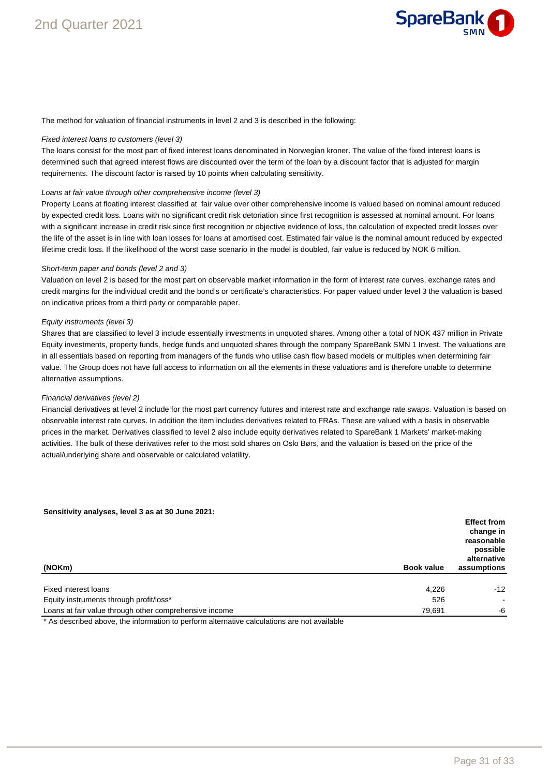

The method for valuation of financial instruments in level 2 and 3 is described in the following:

### Fixed interest loans to customers (level 3)

The loans consist for the most part of fixed interest loans denominated in Norwegian kroner. The value of the fixed interest loans is determined such that agreed interest flows are discounted over the term of the loan by a discount factor that is adjusted for margin requirements. The discount factor is raised by 10 points when calculating sensitivity.

#### Loans at fair value through other comprehensive income (level 3)

Property Loans at floating interest classified at fair value over other comprehensive income is valued based on nominal amount reduced by expected credit loss. Loans with no significant credit risk detoriation since first recognition is assessed at nominal amount. For loans with a significant increase in credit risk since first recognition or objective evidence of loss, the calculation of expected credit losses over the life of the asset is in line with loan losses for loans at amortised cost. Estimated fair value is the nominal amount reduced by expected lifetime credit loss. If the likelihood of the worst case scenario in the model is doubled, fair value is reduced by NOK 6 million.

### Short-term paper and bonds (level 2 and 3)

Valuation on level 2 is based for the most part on observable market information in the form of interest rate curves, exchange rates and credit margins for the individual credit and the bond's or certificate's characteristics. For paper valued under level 3 the valuation is based on indicative prices from a third party or comparable paper.

#### Equity instruments (level 3)

Shares that are classified to level 3 include essentially investments in unquoted shares. Among other a total of NOK 437 million in Private Equity investments, property funds, hedge funds and unquoted shares through the company SpareBank SMN 1 Invest. The valuations are in all essentials based on reporting from managers of the funds who utilise cash flow based models or multiples when determining fair value. The Group does not have full access to information on all the elements in these valuations and is therefore unable to determine alternative assumptions.

### Financial derivatives (level 2)

Financial derivatives at level 2 include for the most part currency futures and interest rate and exchange rate swaps. Valuation is based on observable interest rate curves. In addition the item includes derivatives related to FRAs. These are valued with a basis in observable prices in the market. Derivatives classified to level 2 also include equity derivatives related to SpareBank 1 Markets' market-making activities. The bulk of these derivatives refer to the most sold shares on Oslo Børs, and the valuation is based on the price of the actual/underlying share and observable or calculated volatility.

#### **Sensitivity analyses, level 3 as at 30 June 2021:**

| (NOKm)<br><b>Book value</b>                                      | <b>Effect from</b><br>change in<br>reasonable<br>possible<br>alternative<br>assumptions |
|------------------------------------------------------------------|-----------------------------------------------------------------------------------------|
| Fixed interest loans<br>4,226                                    | $-12$                                                                                   |
| Equity instruments through profit/loss*<br>526                   | $\sim$                                                                                  |
| Loans at fair value through other comprehensive income<br>79,691 | -6                                                                                      |

\* As described above, the information to perform alternative calculations are not available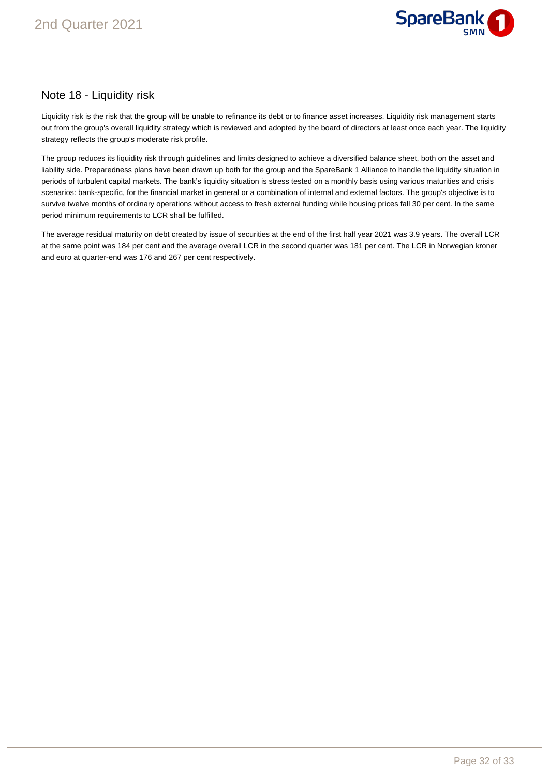

### Note 18 - Liquidity risk

Liquidity risk is the risk that the group will be unable to refinance its debt or to finance asset increases. Liquidity risk management starts out from the group's overall liquidity strategy which is reviewed and adopted by the board of directors at least once each year. The liquidity strategy reflects the group's moderate risk profile.

The group reduces its liquidity risk through guidelines and limits designed to achieve a diversified balance sheet, both on the asset and liability side. Preparedness plans have been drawn up both for the group and the SpareBank 1 Alliance to handle the liquidity situation in periods of turbulent capital markets. The bank's liquidity situation is stress tested on a monthly basis using various maturities and crisis scenarios: bank-specific, for the financial market in general or a combination of internal and external factors. The group's objective is to survive twelve months of ordinary operations without access to fresh external funding while housing prices fall 30 per cent. In the same period minimum requirements to LCR shall be fulfilled.

The average residual maturity on debt created by issue of securities at the end of the first half year 2021 was 3.9 years. The overall LCR at the same point was 184 per cent and the average overall LCR in the second quarter was 181 per cent. The LCR in Norwegian kroner and euro at quarter-end was 176 and 267 per cent respectively.